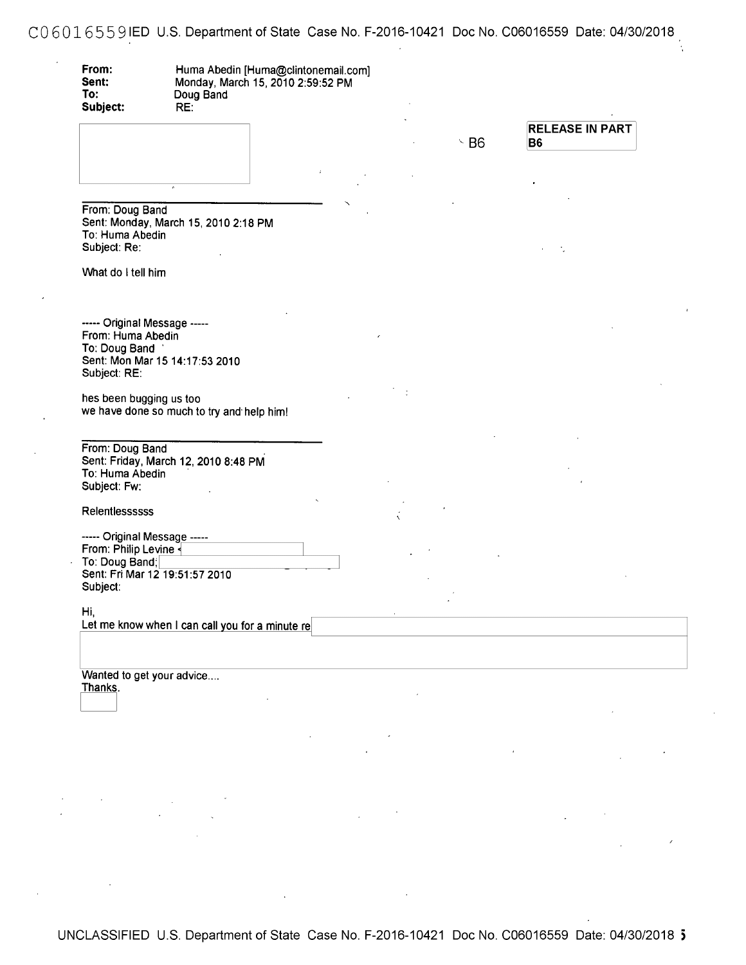C06016559IED U.S. Department of State Case No. F-2016-10421 Doc No. C06016559 Date: 04/30/2018

 $\hat{\boldsymbol{\epsilon}}$ 

| To:<br>Subject:                                                                    | Doug Band<br>RE:                                |  |            |                                          |  |
|------------------------------------------------------------------------------------|-------------------------------------------------|--|------------|------------------------------------------|--|
|                                                                                    |                                                 |  | $\cdot$ B6 | <b>RELEASE IN PART</b><br>B <sub>6</sub> |  |
|                                                                                    |                                                 |  |            |                                          |  |
|                                                                                    |                                                 |  |            |                                          |  |
| From: Doug Band<br>To: Huma Abedin                                                 | Sent: Monday, March 15, 2010 2:18 PM            |  |            |                                          |  |
| Subject: Re:                                                                       |                                                 |  |            |                                          |  |
| What do I tell him                                                                 |                                                 |  |            |                                          |  |
|                                                                                    |                                                 |  |            |                                          |  |
| ----- Original Message -----<br>From: Huma Abedin<br>To: Doug Band<br>Subject: RE: | Sent: Mon Mar 15 14:17:53 2010                  |  |            |                                          |  |
| hes been bugging us too                                                            | we have done so much to try and help him!       |  |            |                                          |  |
|                                                                                    |                                                 |  |            |                                          |  |
| From: Doug Band<br>To: Huma Abedin<br>Subject: Fw:                                 | Sent: Friday, March 12, 2010 8:48 PM            |  |            |                                          |  |
| Relentlessssss                                                                     |                                                 |  |            |                                          |  |
| ----- Original Message -----                                                       |                                                 |  |            |                                          |  |
| To: Doug Band;<br>Sent: Fri Mar 12 19:51:57 2010                                   | From: Philip Levine                             |  |            |                                          |  |
| Subject:                                                                           |                                                 |  |            |                                          |  |
| Hi,                                                                                | Let me know when I can call you for a minute re |  |            |                                          |  |
|                                                                                    |                                                 |  |            |                                          |  |
|                                                                                    |                                                 |  |            |                                          |  |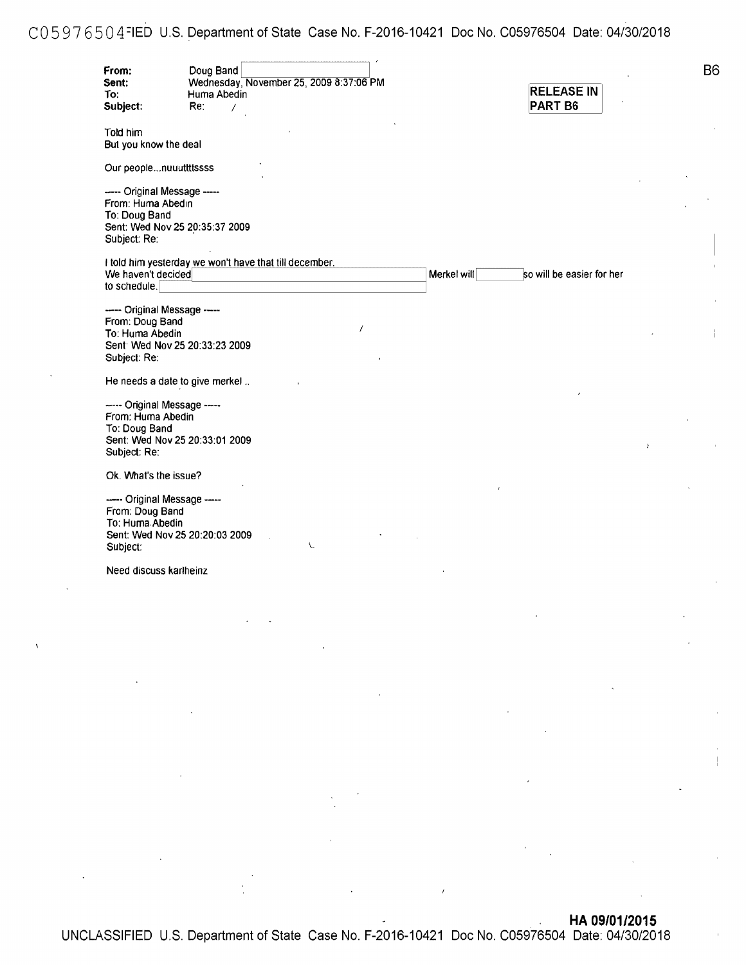# C 0 5 9 7 6 5 0 4 =1ED U.S. Department of State Case No. F-2016-10421 Doc No. C05976504 Date: 04/30/2018

| From:<br>Sent:<br>To:<br>Subject:                                                  | Doug Band<br>Wednesday, November 25, 2009 8:37:06 PM<br>Huma Abedin<br>Re∶<br>7 |             | <b>RELEASE IN</b><br>PART <sub>B6</sub> |
|------------------------------------------------------------------------------------|---------------------------------------------------------------------------------|-------------|-----------------------------------------|
| Told him<br>But you know the deal                                                  |                                                                                 |             |                                         |
| Our peoplenuuuttttssss                                                             |                                                                                 |             |                                         |
| ----- Original Message -----<br>From: Huma Abedin<br>To: Doug Band<br>Subject: Re: | Sent: Wed Nov 25 20:35:37 2009                                                  |             |                                         |
| We haven't decided                                                                 | I told him yesterday we won't have that till december.                          | Merkel will | so will be easier for her               |
| to schedule.                                                                       |                                                                                 |             |                                         |
| ----- Original Message -----<br>From: Doug Band<br>To: Huma Abedin<br>Subject: Re: | 1<br>Sent: Wed Nov 25 20:33:23 2009                                             |             |                                         |
|                                                                                    | He needs a date to give merkel                                                  |             |                                         |
| ----- Original Message -----<br>From: Huma Abedin<br>To: Doug Band<br>Subject: Re: | Sent: Wed Nov 25 20:33:01 2009                                                  |             | $\mathbf{I}$                            |
| Ok. What's the issue?                                                              |                                                                                 |             |                                         |
| ----- Original Message -----<br>From: Doug Band<br>To: Huma Abedin<br>Subject:     | Sent: Wed Nov 25 20:20:03 2009<br>X.                                            |             |                                         |
| Need discuss karlheinz                                                             |                                                                                 |             |                                         |
|                                                                                    |                                                                                 |             |                                         |
|                                                                                    |                                                                                 |             |                                         |

**B**6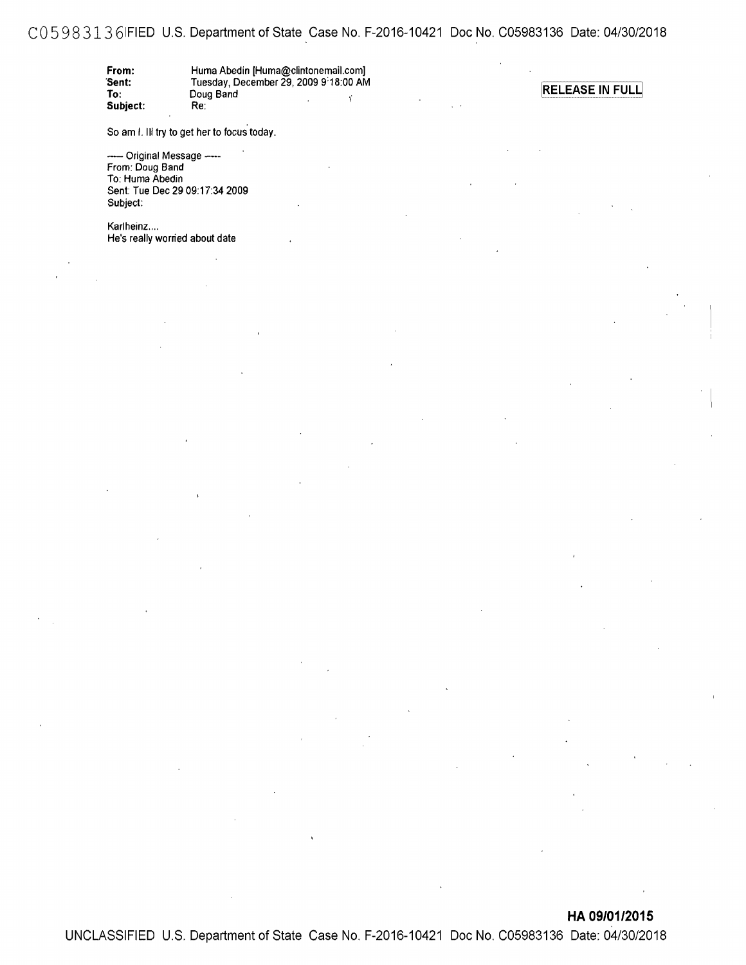### CO 5 9 8 313 61FIED U.S. Department of State Case No. F-2016-10421 Doc No. C05983136 Date: 04/30/2018

| From:    | Huma Abedin [Huma@clintonemail.com]   |
|----------|---------------------------------------|
| Sent:    | Tuesday, December 29, 2009 9:18:00 AM |
| To:      | Doug Band                             |
| Subject: | Re:                                   |

**RELEASE IN FULL** 

So am I. III try to get her to focus today.

---- Original Message ----From: Doug Band To: Huma Abedin Sent: Tue Dec 29 09:17:34 2009 Subject:

Karlheinz.... He's really worried about date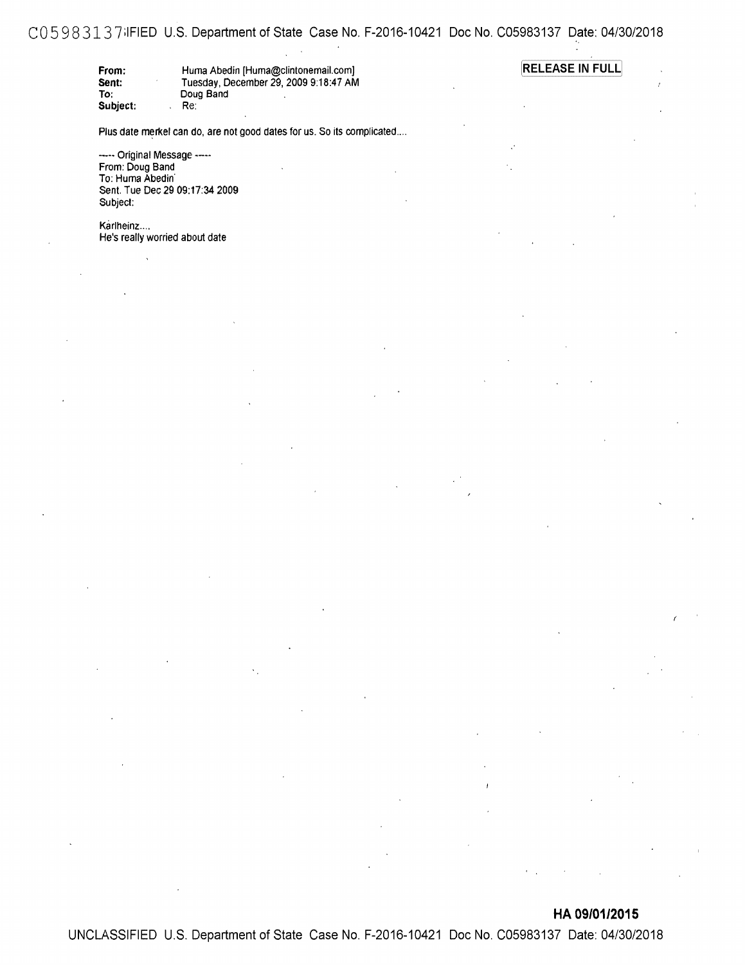### CO 5 9 8 313 7:1FIED U.S. Department of State Case No. F-2016-10421 Doc No. C05983137 Date: 04/30/2018

| From:    | Huma Abedin [Huma@clintonemail.com]   | <b>RELEASE IN FULL</b> |
|----------|---------------------------------------|------------------------|
| Sent:    | Tuesday, December 29, 2009 9:18:47 AM |                        |
| To:      | Doug Band                             |                        |
| Subject: | Re:                                   |                        |

Plus date merkel can do, are not good dates for us. So its complicated....

----- Original Message -----From: Doug Band To: Huma Abedin' Sent. Tue Dec 29 09:17:34 2009 Subject:

Karlheinz.... He's really worried about date

**HA 09/01/2015**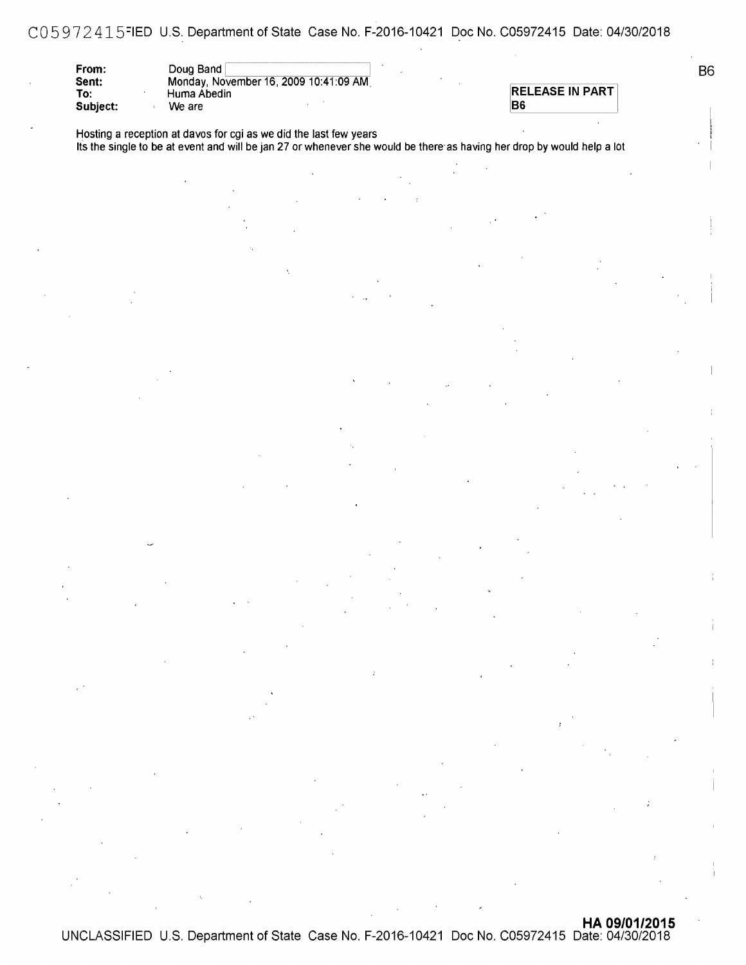CO 5 9 7 2 415=1ED U.S. Department of State Case No. F-2016-10421 Doc No. C05972415 Date: 04/30/2018

| From:    | Doug Band                             |  |
|----------|---------------------------------------|--|
| Sent:    | Monday, November 16, 2009 10:41:09 AM |  |
| To:      | Huma Abedin                           |  |
| Subject: | We are                                |  |

|  |  |  | <b>RELEASE IN PART</b> |
|--|--|--|------------------------|
|  |  |  |                        |

Hosting a reception at davos for cgi as we did the last few years Its the single to be at event and will be jan 27 or whenever she would be there· as having her drop by would help a lot 86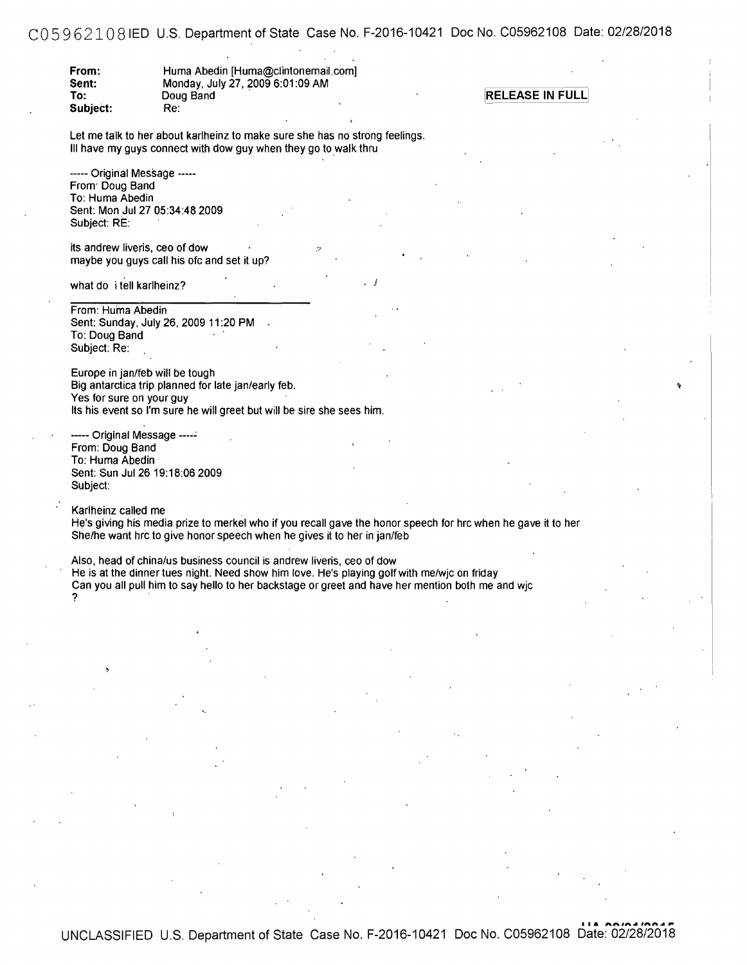CO 5 9 621O8 IED U.S. Department of State Case No. F-2016-10421 Doc No. C05962108 Date: 02/28/2018

J

**From: Sent: To:**  Huma Abedin [Huma@clintonemail.com] Monday, July 27, 2009 6:01 :09 AM Subject: Re:

**RELEASE IN FULL** 

Let me talk to her about karlheinz to make sure she has no strong feelings. III have my guys connect with dow guy when they go to walk thru

----- Original Message ••••• From· Doug Band To: Huma Abedin Sent: Mon Jul 27 05:34:48 2009 Subject: RE:

its andrew liveris, ceo of dow maybe you guys call his ofc and set it up?

what do i tell karlheinz?

From: Huma Abedin Sent: Sunday, July 26, 2009 11:20 PM To: Doug Band Subject: Re:

Europe in jan/feb will be tough Big antarctica trip planned for late jan/early feb. Yes for sure on your guy Its his event so I'm sure he will greet but will be sire she sees him.

·---- Original Message ---·- From: Doug Band To: Huma Abedin Sent: Sun Jul 26 19:18:06 2009 Subject:

Karlheinz called me He's giving his media prize to merkel who if you recall gave the honor speech for hrc when he gave it to her She/he want hrc to give honor speech when he gives it to her in jan/feb

Also, head of china/us business council is andrew liveris, ceo of dow He is at the dinner tues night. Need show him love. He's playing golf with me/wjc on friday Can you all pull him to say hello to her backstage or greet and have her mention both me and wjc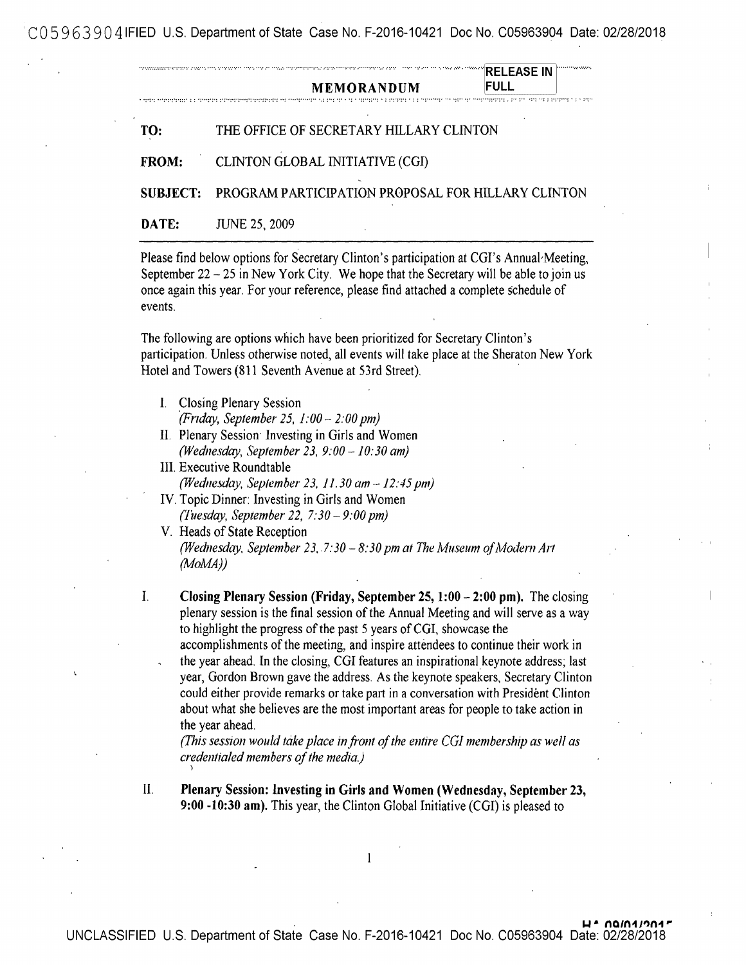'C05 963 9041FIED U.S. Department of State Case No. F-2016-10421 Doc No. C05963904 Date: 02/28/2018

| TO:<br><b>FROM:</b><br><b>SUBJECT:</b><br>DATE:<br>events.<br>Ī. | THE OFFICE OF SECRETARY HILLARY CLINTON<br>CLINTON GLOBAL INITIATIVE (CGI)<br>PROGRAM PARTICIPATION PROPOSAL FOR HILLARY CLINTON<br><b>JUNE 25, 2009</b><br>Please find below options for Secretary Clinton's participation at CGI's Annual Meeting,<br>September 22 - 25 in New York City. We hope that the Secretary will be able to join us<br>once again this year. For your reference, please find attached a complete schedule of<br>The following are options which have been prioritized for Secretary Clinton's<br>participation. Unless otherwise noted, all events will take place at the Sheraton New York<br>Hotel and Towers (811 Seventh Avenue at 53rd Street).<br><b>Closing Plenary Session</b>                                                                                                            |
|------------------------------------------------------------------|------------------------------------------------------------------------------------------------------------------------------------------------------------------------------------------------------------------------------------------------------------------------------------------------------------------------------------------------------------------------------------------------------------------------------------------------------------------------------------------------------------------------------------------------------------------------------------------------------------------------------------------------------------------------------------------------------------------------------------------------------------------------------------------------------------------------------|
|                                                                  |                                                                                                                                                                                                                                                                                                                                                                                                                                                                                                                                                                                                                                                                                                                                                                                                                              |
|                                                                  |                                                                                                                                                                                                                                                                                                                                                                                                                                                                                                                                                                                                                                                                                                                                                                                                                              |
|                                                                  |                                                                                                                                                                                                                                                                                                                                                                                                                                                                                                                                                                                                                                                                                                                                                                                                                              |
|                                                                  |                                                                                                                                                                                                                                                                                                                                                                                                                                                                                                                                                                                                                                                                                                                                                                                                                              |
|                                                                  |                                                                                                                                                                                                                                                                                                                                                                                                                                                                                                                                                                                                                                                                                                                                                                                                                              |
|                                                                  | (Friday, September 25, $1:00 - 2:00$ pm)<br>II. Plenary Session: Investing in Girls and Women<br>(Wednesday, September 23, $9:00 - 10:30$ am)<br>III. Executive Roundtable<br>(Wednesday, September 23, 11.30 $am - 12.45$ pm)<br>IV. Topic Dinner: Investing in Girls and Women<br>(Tuesday, September 22, $7:30 - 9:00$ pm)<br>V. Heads of State Reception<br>(Wednesday, September 23, 7:30 - 8:30 pm at The Museum of Modern Art<br>(MoMA)                                                                                                                                                                                                                                                                                                                                                                               |
| $I_{\cdot}$                                                      | Closing Plenary Session (Friday, September 25, 1:00 - 2:00 pm). The closing<br>plenary session is the final session of the Annual Meeting and will serve as a way<br>to highlight the progress of the past 5 years of CGI, showcase the<br>accomplishments of the meeting, and inspire attendees to continue their work in<br>the year ahead. In the closing, CGI features an inspirational keynote address; last<br>year, Gordon Brown gave the address. As the keynote speakers, Secretary Clinton<br>could either provide remarks or take part in a conversation with President Clinton<br>about what she believes are the most important areas for people to take action in<br>the year ahead.<br>(This session would take place in front of the entire CGI membership as well as<br>credentialed members of the media.) |

 $\overline{\phantom{a}}$ 

 $\bf 1$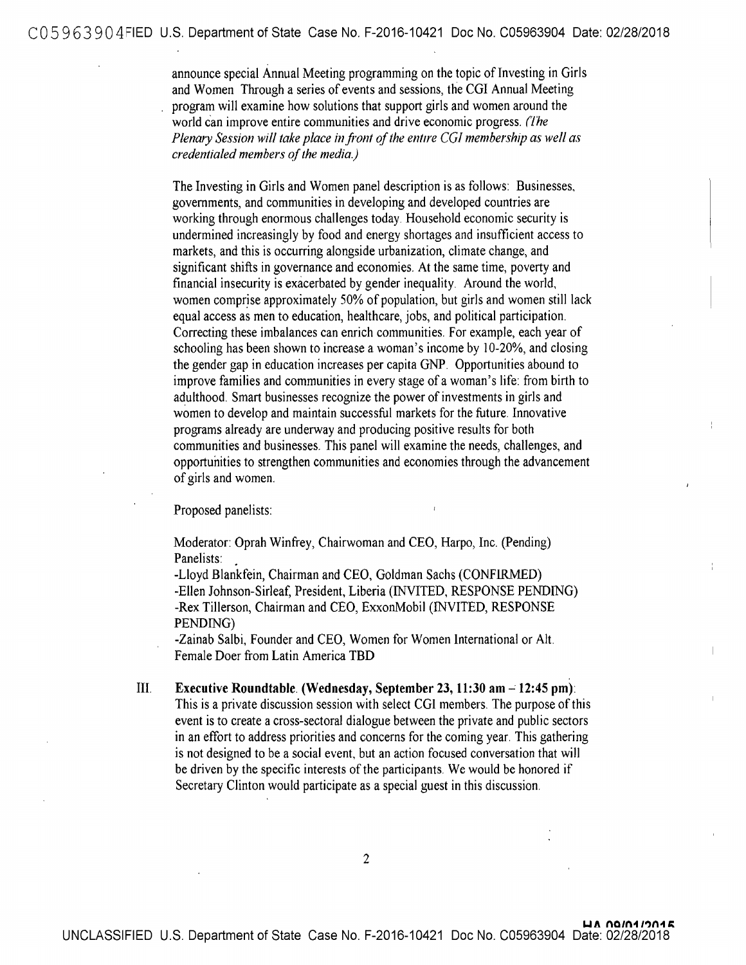announce special Annual Meeting programming on the topic of Investing in Girls and Women Through a series of events and sessions, the CGI Annual Meeting program will examine how solutions that support girls and women around the world can improve entire communities and drive economic progress. *(The Plenmy Session will take place in.front Qf the entire* CG! *membership as well as credentialed members of the media.)* 

The Investing in Girls and Women panel description is as follows: Businesses, governments, and communities in developing and developed countries are working through enormous challenges today. Household economic security is undermined increasingly by food and energy shortages and insufficient access to markets, and this is occurring alongside urbanization, climate change, and significant shifts in governance and economies. At the same time, poverty and financial insecurity is exacerbated by gender inequality. Around the world, women comprise approximately 50% of population, but girls and women still lack equal access as men to education, healthcare, jobs, and political participation. Correcting these imbalances can enrich communities. For example, each year of schooling has been shown to increase a woman's income by 10-20%, and closing the gender gap in education increases per capita GNP. Opportunities abound to improve families and communities in every stage of a woman's life: from birth to adulthood. Smart businesses recognize the power of investments in girls and women to develop and maintain successful markets for the future. Innovative programs already are underway and producing positive results for both communities and businesses. This panel will examine the needs, challenges, and opportunities to strengthen communities and economies through the advancement of girls and women.

Proposed panelists:

Moderator: Oprah Winfrey, Chairwoman and CEO, Harpo, Inc. (Pending) Panelists:

-Lloyd Blankfein, Chairman and CEO, Goldman Sachs (CONFIRMED) -Ellen Johnson-Sirleaf, President, Liberia (INVITED, RESPONSE PENDING) -Rex Tillerson, Chairman and CEO, ExxonMobil (INVITED, RESPONSE PENDING)

-Zainab Salbi, Founder and CEO, Women for Women International or Alt. Female Doer from Latin America TBD

III. **Executive Roundtable. (Wednesday, September 23, 11:30 am - 12:45 pm):** This is a private discussion session with select CGI members. The purpose of this event is to create a cross-sectoral dialogue between the private and public sectors in an effort to address priorities and concerns for the coming year. This gathering is not designed to be a social event, but an action focused conversation that will be driven by the specific interests of the participants. We would be honored if Secretary Clinton would participate as a special guest in this discussion.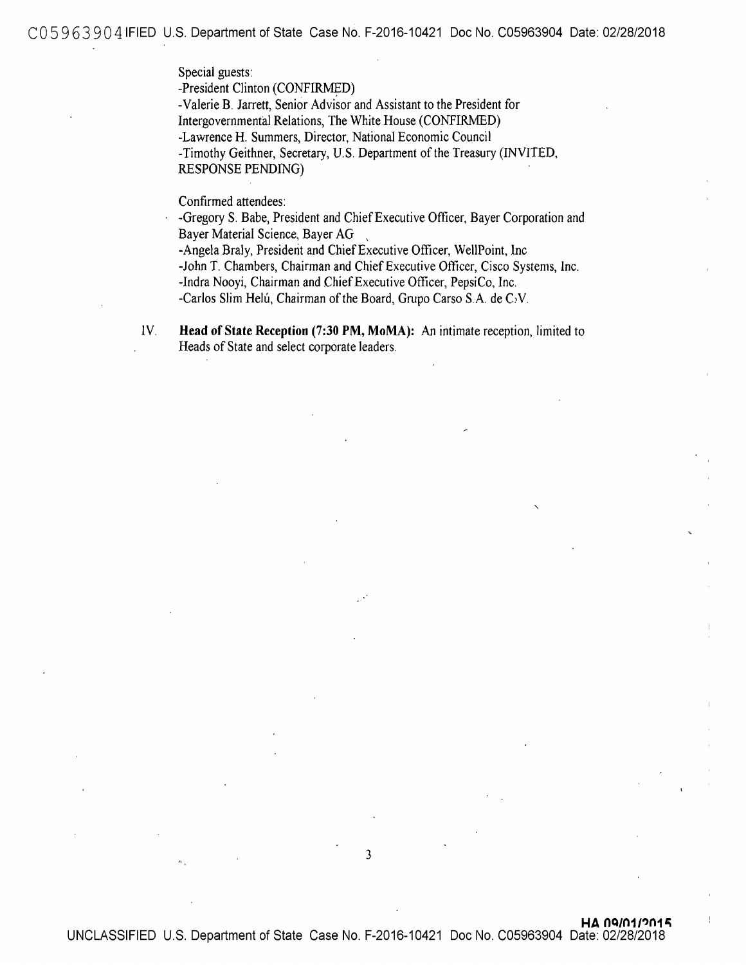C05 963 904 IFIED U.S. Department of State Case No. F-2016-10421 Doc No. C05963904 Date: 02/28/2018

Special guests:

-President Clinton (CONFIRMED)

-Valerie **B.** Jarrett, Senior Advisor and Assistant to the President for Intergovernmental Relations, The White House (CONFIRMED) -Lawrence H. Summers, Director, National Economic Council -Timothy Geithner, Secretary, U.S. Department of the Treasury (INVITED, RESPONSE PENDING)

Confirmed attendees:

-Gregory S. Babe, President and Chief Executive Officer, Bayer Corporation and Bayer Material Science, Bayer AG

-Angela Braly, President and Chief Executive Officer, WellPoint, Inc -John T. Chambers, Chairman and Chief Executive Officer, Cisco Systems, lnc. -Indra Nooyi, Chairman and Chief Executive Officer, PepsiCo, Inc. -Carlos Slim Helú, Chairman of the Board, Grupo Carso S.A. de C.V.

lV. **Head of State Reception (7:30 PM, MoMA):** An intimate reception, limited to Heads of State and select corporate leaders.

3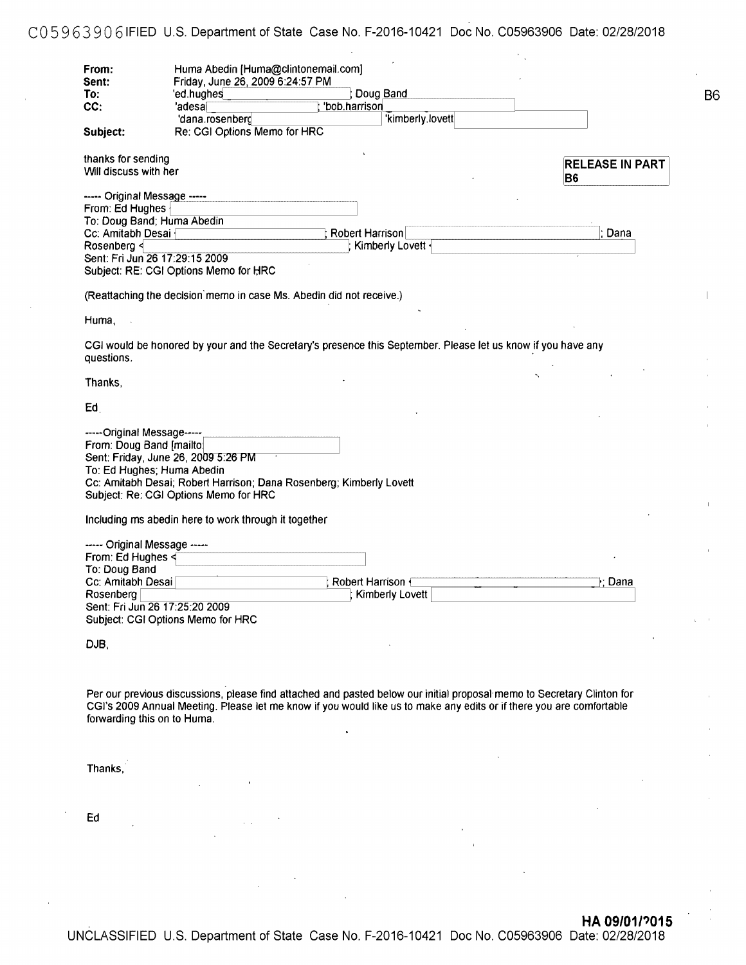# C05 9 63 90 6 IFIED U.S. Department of State Case No. F-2016-10421 Doc No. C05963906 Date: 02/28/2018

86

| From:<br>Sent:               | Huma Abedin [Huma@clintonemail.com]<br>Friday, June 26, 2009 6:24:57 PM                                                |                        |
|------------------------------|------------------------------------------------------------------------------------------------------------------------|------------------------|
| To:                          | 'ed.hughes<br>Doug Band                                                                                                |                        |
| CC:                          | 'bob.harrison<br>'adesal                                                                                               |                        |
|                              | kimberly.lovett<br>'dana.rosenberg                                                                                     |                        |
| Subject:                     | Re: CGI Options Memo for HRC                                                                                           |                        |
| thanks for sending           |                                                                                                                        | <b>RELEASE IN PART</b> |
| Will discuss with her        |                                                                                                                        |                        |
|                              |                                                                                                                        | B <sub>6</sub>         |
| ----- Original Message ----- |                                                                                                                        |                        |
| From: Ed Hughes              |                                                                                                                        |                        |
|                              | To: Doug Band; Huma Abedin                                                                                             |                        |
|                              |                                                                                                                        |                        |
| Cc: Amitabh Desai {          | Robert Harrison                                                                                                        | Dana                   |
| Rosenberg <                  | Kimberly Lovett                                                                                                        |                        |
|                              | Sent: Fri Jun 26 17:29:15 2009                                                                                         |                        |
|                              | Subject: RE: CGI Options Memo for HRC                                                                                  |                        |
|                              | (Reattaching the decision memo in case Ms. Abedin did not receive.)                                                    |                        |
|                              |                                                                                                                        |                        |
| Huma,                        |                                                                                                                        |                        |
|                              | CGI would be honored by your and the Secretary's presence this September. Please let us know if you have any           |                        |
| questions.                   |                                                                                                                        |                        |
| Thanks,                      |                                                                                                                        |                        |
|                              |                                                                                                                        |                        |
| Ed                           |                                                                                                                        |                        |
| -----Original Message-----   |                                                                                                                        |                        |
| From: Doug Band [mailto]     |                                                                                                                        |                        |
|                              |                                                                                                                        |                        |
|                              | Sent: Friday, June 26, 2009 5:26 PM                                                                                    |                        |
|                              | To: Ed Hughes; Huma Abedin                                                                                             |                        |
|                              | Cc: Amitabh Desai; Robert Harrison; Dana Rosenberg; Kimberly Lovett                                                    |                        |
|                              | Subject: Re: CGI Options Memo for HRC                                                                                  |                        |
|                              | Including ms abedin here to work through it together                                                                   |                        |
| ----- Original Message ----- |                                                                                                                        |                        |
| From: Ed Hughes <            |                                                                                                                        |                        |
|                              |                                                                                                                        |                        |
| To: Doug Band                |                                                                                                                        |                        |
| Cc: Amitabh Desai            | <b>Robert Harrison</b>                                                                                                 | }; Dana                |
| Rosenberg                    | Kimberly Lovett                                                                                                        |                        |
|                              | Sent: Fri Jun 26 17:25:20 2009                                                                                         |                        |
|                              | Subject: CGI Options Memo for HRC                                                                                      |                        |
|                              |                                                                                                                        |                        |
| DJB,                         |                                                                                                                        |                        |
|                              |                                                                                                                        |                        |
|                              |                                                                                                                        |                        |
|                              |                                                                                                                        |                        |
|                              | Per our previous discussions, please find attached and pasted below our initial proposal memo to Secretary Clinton for |                        |
|                              | CGI's 2009 Annual Meeting. Please let me know if you would like us to make any edits or if there you are comfortable   |                        |
| forwarding this on to Huma.  |                                                                                                                        |                        |
|                              |                                                                                                                        |                        |
|                              |                                                                                                                        |                        |
|                              |                                                                                                                        |                        |
| Thanks,                      |                                                                                                                        |                        |
|                              |                                                                                                                        |                        |
|                              |                                                                                                                        |                        |
|                              |                                                                                                                        |                        |
|                              |                                                                                                                        |                        |
| Ed                           |                                                                                                                        |                        |
|                              |                                                                                                                        |                        |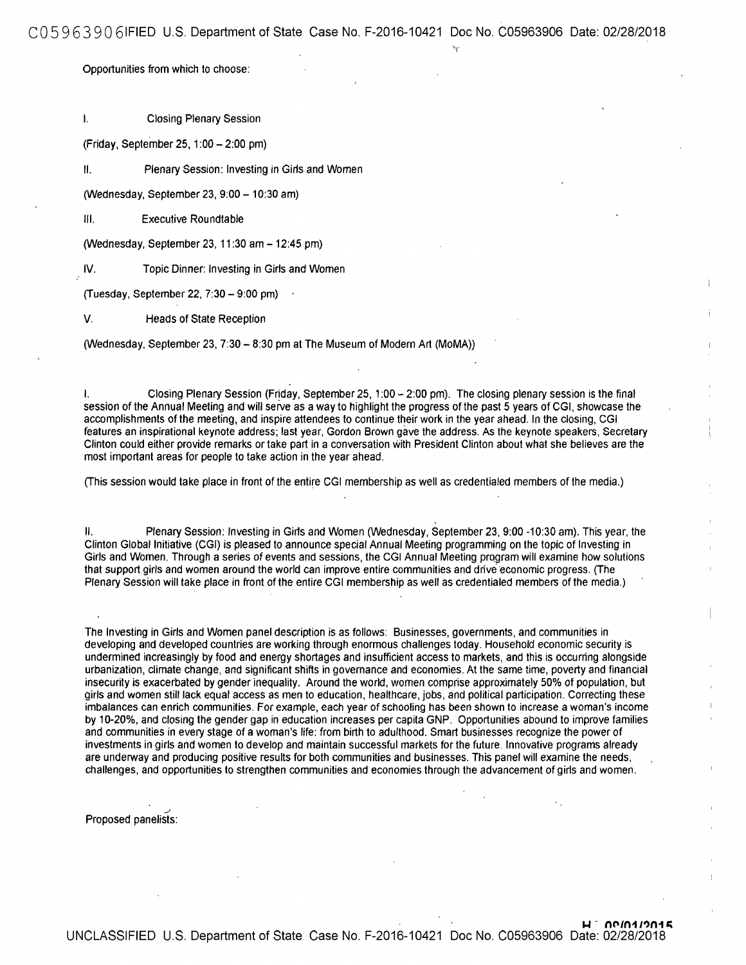COS 9 63 90 61FIED U.S. Department of State Case No. F-2016-10421 Doc No. C05963906 Date: 02/28/2018

Opportunities from which to choose:

I. Closing Plenary Session

(Friday, September 25, 1 :00 - 2:00 pm)

II. Plenary Session: Investing in Girls and Women

(Wednesday, September 23, 9:00 - 10:30 am)

Ill. Executive Roundtable

(Wednesday, September 23, 11 :30 am - 12:45 pm)

IV. Topic Dinner: Investing in Girls and Women

(Tuesday, September 22, 7:30 - 9:00 pm)

V. Heads of State Reception

(Wednesday, September 23, 7:30 - 8:30 pm at The Museum of Modern Art (MoMA))

I. Closing Plenary Session (Friday, September 25, 1:00-2:00 pm). The closing plenary session is the final session of the Annual Meeting and will serve as a way to highlight the progress of the past 5 years of CGI, showcase the accomplishments of the meeting, and inspire attendees to continue their work in the year ahead. In the closing, CGI features an inspirational keynote address; last year, Gordon Brown gave the address. As the keynote speakers, Secretary Clinton could either provide remarks or take part in a conversation with President Clinton about what she believes are the most important areas for people to take action in the year ahead.

(This session would take place in front of the entire CGI membership as well as credentialed members of the media.)

II. Plenary Session: Investing in Girls and Women (Wednesday, September 23, 9:00 -10:30 am). This year, the Clinton Global Initiative (CGI) is pleased to announce special Annual Meeting programming on the topic of Investing in Girls and Women. Through a series of events and sessions, the CGI Annual Meeting program will examine how solutions that support girls and women around the world can improve entire communities and drive economic progress. (The Plenary Session will take place in front of the entire CGI membership as well as credentialed members of the media.)

The Investing in Girls and Women panel description is as follows: Businesses, governments, and communities in developing and developed countries are working through enormous challenges today. Household economic security is undermined increasingly by food and energy shortages and insufficient access to markets, and this is occurring alongside urbanization, climate change, and significant shifts in governance and economies. At the same time, poverty and financial insecurity is exacerbated by gender inequality. Around the world, women comprise approximately 50% of population, but girls and women still lack equal access as men to education, healthcare, jobs, and political participation. Correcting these imbalances can enrich communities. For example, each year of schooling has been shown to increase a woman's income by 10-20%, and closing the gender gap in education increases per capita GNP. Opportunities abound to improve families and communities in every stage of a woman's life: from birth to adulthood. Smart businesses recognize the power of investments in girls and women to develop and maintain successful markets for the future. Innovative programs already are underway and producing positive results for both communities and businesses. This panel will examine the needs, challenges, and opportunities to strengthen communities and economies through the advancement of girls and women .

Proposed panelists: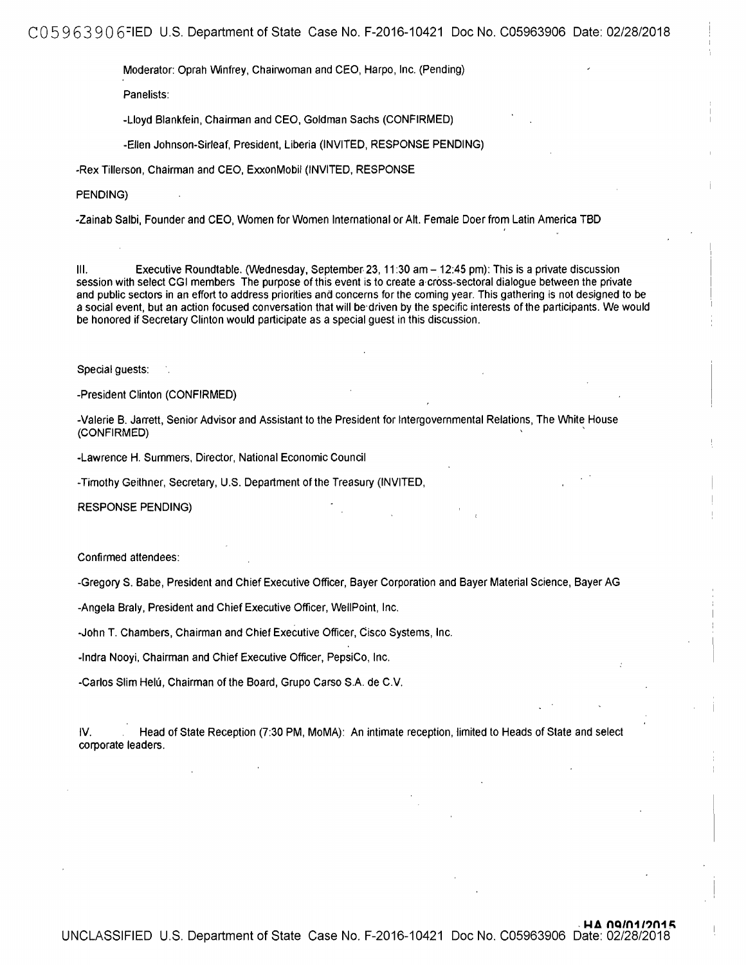C05 9 63 90 6=1ED U.S. Department of State Case No. F-2016-10421 Doc No. C05963906 Date: 02/28/2018

Moderator: Oprah Winfrey, Chairwoman and CEO, Harpo, Inc. (Pending)

Panelists:

-Lloyd Blankfein, Chairman and CEO, Goldman Sachs (CONFIRMED)

-Ellen Johnson-Sirleaf, President, Liberia (INVITED, RESPONSE PENDING)

-Rex Tillerson, Chairman and CEO, ExxonMobil (INVITED, RESPONSE

PENDING)

-Zainab Salbi, Founder and CEO, Women for Women International or Alt. Female Doer from Latin America TBD

Ill. Executive Roundtable. (Wednesday, September. 23, 11 :30 am - 12:45 pm): This is a private discussion session with select CGI members The purpose of this event is to create a-cross-sectoral dialogue between the private and public sectors in an effort to address priorities and concerns for the coming year. This gathering is not designed to be a social event, but an action focused conversation that will be·driven by the specific interests of the participants. We would be honored if Secretary Clinton would participate as a special guest in this discussion.

Special guests:

-President Clinton (CONFIRMED)

-Valerie B. Jarrett, Senior Advisor and Assistant to the President for Intergovernmental Relations, The White House (CONFIRMED) '

-Lawrence H. Summers, Director, National Economic Council

-Timothy Geithner, Secretary, U.S. Department of the Treasury (INVITED,

RESPONSE PENDING)

Confirmed attendees:

-Gregory S. Babe, President and Chief Executive Officer, Bayer Corporation and Bayer Material Science, Bayer AG

-Angela Braly, President and Chief Executive Officer, WellPoint, Inc.

-John T. Chambers, Chairman and Chief Executive Officer, Cisco Systems, Inc.

-Indra Nooyi, Chairman and Chief Executive Officer, PepsiCo, Inc.

-Carlos Slim Helú, Chairman of the Board, Grupo Carso S.A. de C.V.

IV. Head of State Reception (7:30 PM, MoMA): An intimate reception, limited to Heads of State and select corporate leaders.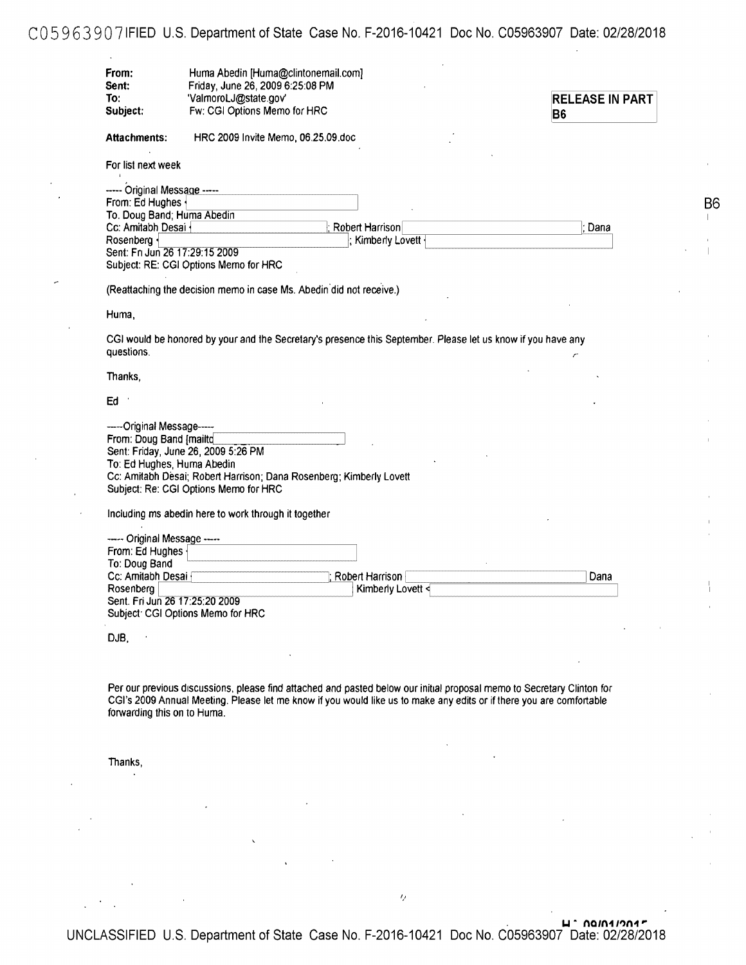# C059639071FIED U.S. Department of State Case No. F-2016-10421 Doc No. C05963907 Date: 02/28/2018

| From:<br>Sent:                 | Huma Abedin [Huma@clintonemail.com]<br>Friday, June 26, 2009 6:25:08 PM                                                |                        |
|--------------------------------|------------------------------------------------------------------------------------------------------------------------|------------------------|
| To:                            | 'ValmoroLJ@state.gov'                                                                                                  | <b>RELEASE IN PART</b> |
| Subject:                       | Fw: CGI Options Memo for HRC                                                                                           |                        |
|                                |                                                                                                                        | <b>B6</b>              |
| Attachments:                   | HRC 2009 Invite Memo, 06.25.09.doc                                                                                     |                        |
| For list next week             |                                                                                                                        |                        |
| ----- Original Message -----   |                                                                                                                        |                        |
| From: Ed Hughes                |                                                                                                                        | B6                     |
| To. Doug Band; Huma Abedin     |                                                                                                                        |                        |
| Cc: Amitabh Desai              | Robert Harrison                                                                                                        | Dana                   |
| Rosenberg {                    | ; Kimberly Lovett -                                                                                                    |                        |
| Sent: Fri Jun 26 17:29:15 2009 |                                                                                                                        |                        |
|                                | Subject: RE: CGI Options Memo for HRC                                                                                  |                        |
|                                |                                                                                                                        |                        |
|                                | (Reattaching the decision memo in case Ms. Abedin did not receive.)                                                    |                        |
| Huma,                          |                                                                                                                        |                        |
|                                |                                                                                                                        |                        |
|                                | CGI would be honored by your and the Secretary's presence this September. Please let us know if you have any           |                        |
| questions.                     |                                                                                                                        |                        |
|                                |                                                                                                                        |                        |
| Thanks,                        |                                                                                                                        |                        |
| Ed                             |                                                                                                                        |                        |
|                                |                                                                                                                        |                        |
| -----Original Message-----     |                                                                                                                        |                        |
| From: Doug Band [mailtd        |                                                                                                                        |                        |
|                                | Sent: Friday, June 26, 2009 5:26 PM                                                                                    |                        |
| To: Ed Hughes, Huma Abedin     |                                                                                                                        |                        |
|                                | Cc: Amitabh Desai; Robert Harrison; Dana Rosenberg; Kimberly Lovett                                                    |                        |
|                                | Subject: Re: CGI Options Memo for HRC                                                                                  |                        |
|                                | Including ms abedin here to work through it together                                                                   |                        |
|                                |                                                                                                                        |                        |
| ----- Original Message -----   |                                                                                                                        |                        |
| From: Ed Hughes                |                                                                                                                        |                        |
| To: Doug Band                  |                                                                                                                        |                        |
| Cc: Amitabh Desai              | Robert Harrison                                                                                                        | Dana                   |
| Rosenberg                      | Kimberly Lovett <                                                                                                      |                        |
| Sent. Fri Jun 26 17:25:20 2009 |                                                                                                                        |                        |
|                                | Subject: CGI Options Memo for HRC                                                                                      |                        |
| DJB,                           |                                                                                                                        |                        |
|                                |                                                                                                                        |                        |
|                                |                                                                                                                        |                        |
|                                |                                                                                                                        |                        |
|                                | Per our previous discussions, please find attached and pasted below our initial proposal memo to Secretary Clinton for |                        |
|                                | CGI's 2009 Annual Meeting. Please let me know if you would like us to make any edits or if there you are comfortable   |                        |
| forwarding this on to Huma.    |                                                                                                                        |                        |
|                                |                                                                                                                        |                        |
|                                |                                                                                                                        |                        |
| Thanks,                        |                                                                                                                        |                        |
|                                |                                                                                                                        |                        |
|                                |                                                                                                                        |                        |

. **u • no1n11'>n1,.**  UNCLASSIFIED U.S. Department of State Case No. F-2016-10421 Doc No. C05963907 Date: 02/28/2018

 $\bar{Q}$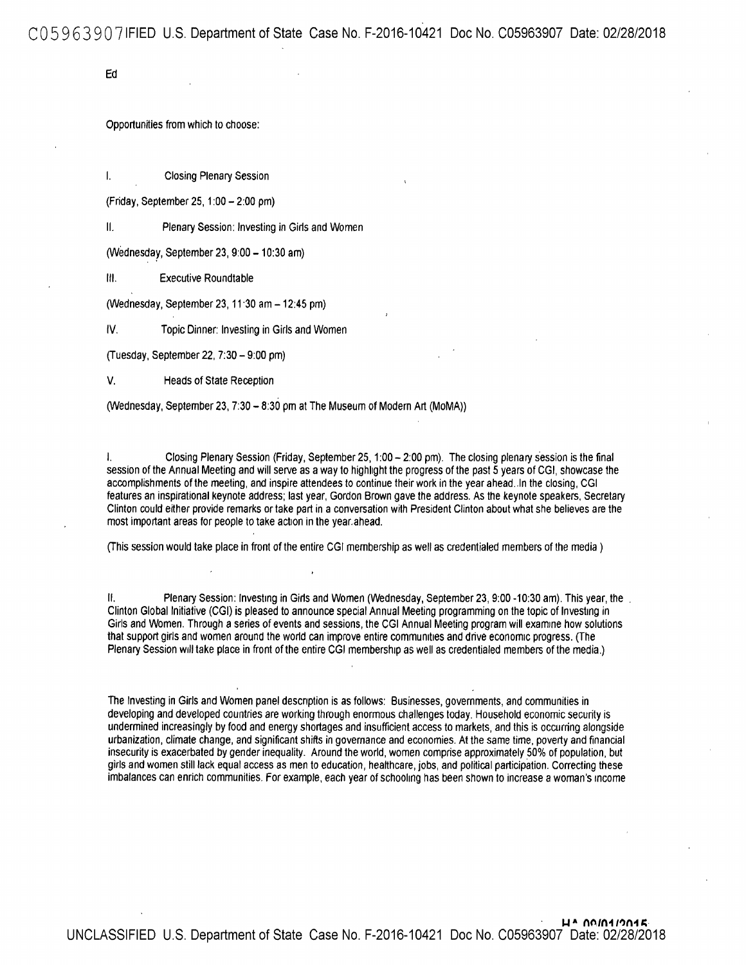C059639071FIED U.S. Department of State Case No. F-2016-10421 Doc No. C05963907 Date: 02/28/2018

Ed

Opportunities from which to choose:

I. Closing Plenary Session

(Friday, September 25, 1 :00 - 2:00 pm)

II. Plenary Session: Investing in Girls and Women

(Wednesday, September 23, 9:00-10:30 am)

Ill. Executive Roundtable

(Wednesday, September 23, 11 ·30 am - 12:45 pm)

IV. Topic Dinner: Investing in Girls and Women

(Tuesday, September 22, 7:30 - 9:00 pm)

V. Heads of State Reception

(Wednesday, September 23, 7:30 - 8:30 pm at The Museum of Modern Art (MoMA))

I. Closing Plenary Session (Friday, September 25, 1:00-2:00 pm). The closing plenary session is the final session of the Annual Meeting and will serve as a way to highlight the progress of the past 5 years of CGI, showcase the accomplishments of the meeting, and inspire attendees to continue their work in the year ahead. In the closing, CGI features an inspirational keynote address; last year, Gordon Brown gave the address. As the keynote speakers. Secretary Clinton could either provide remarks or take part in a conversation with President Clinton about what she believes are the most important areas for people to take action in the year.ahead.

(This session would take place in front of the entire CGI membership as well as credentialed members of the media )

II. Plenary Session: Investing in Girls and Women (Wednesday, September 23, 9:00 -10:30 am). This year, the . Clinton Global Initiative (CGI) is pleased to announce special Annual Meeting programming on the topic of Investing in Girls and Women. Through a series of events and sessions, the CGI Annual Meeting program will examine how solutions that support girls and women around the world can improve entire communities and drive economic progress. (The Plenary Session will take place in front of the entire CGI membership as well as credentialed members of the media.)

The Investing in Girls and Women panel description is as follows: Businesses, governments, and communities in developing and developed countries are working through enormous challenges today. Household economic security is undermined increasingly by food and energy shortages and insufficient access to markets, and this is occurring alongside urbanization, climate change, and significant shifts in governance and economies. At the same time, poverty and financial insecurity is exacerbated by gender inequality. Around the world, women comprise approximately 50% of population. but girls and women still lack equal access as men to education, healthcare, jobs, and political participation. Correcting these imbalances can enrich communities. For example, each year of schooling has been shown to increase a woman's income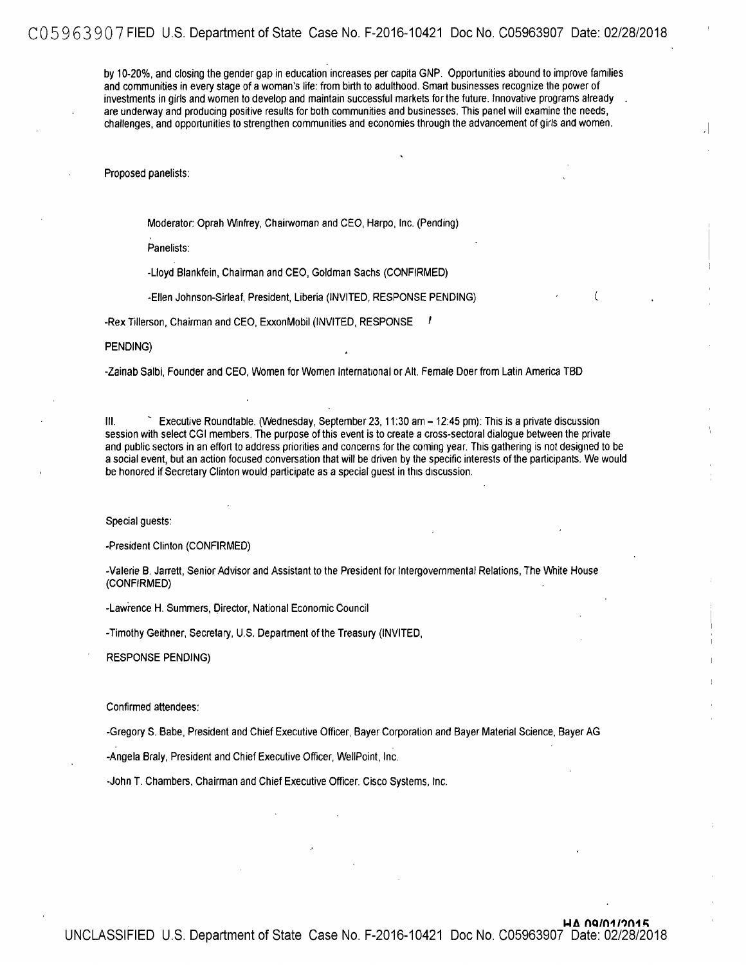by 10-20%, and closing the gender gap in education increases per capita GNP. Opportunities abound to improve families and communities in every stage of a woman's life: from birth to adulthood. Smart businesses recognize the power of investments in girls and women to develop and maintain successful markets for the future. Innovative programs already are underway and producing positive results for both communities and businesses. This panel will examine the needs, challenges, and opportunities to strengthen communities and economies through the advancement of girls and women.

.I

Proposed panelists:

Moderator: Oprah Winfrey, Chairwoman and CEO, Harpo, Inc. (Pending)

Panelists:

-Lloyd Blankfein, Chairman and CEO, Goldman Sachs (CONFIRMED)

-Ellen Johnson-Sirleaf, President, Liberia (INVITED, RESPONSE PENDING) (

-Rex Tillerson, Chairman and CEO, ExxonMobil (INVITED, RESPONSE

PENDING)

-Zainab Salbi, Founder and CEO, Women for Women International or Alt. Female Doer from Latin America TBD

Ill. ~ Executive Roundtable. (Wednesday, September 23, 11 :30 am - 12:45 pm): This is a private discussion session with select CGI members. The purpose of this event is to create a cross-sectoral dialogue between the private and public sectors in an effort to address priorities and concerns for the coming year. This gathering is not designed to be a social event, but an action focused conversation that will be driven by the specific interests of the participants. We would be honored if Secretary Clinton would participate as a special guest in this discussion.

Special guests:

-President Clinton (CONFIRMED)

-Valerie B. Jarrett, Senior Advisor and Assistant to the President for Intergovernmental Relations, The White House (CONFIRMED)

-Lawrence H. Summers, Oirector, National Economic Council

-Timothy Geithner, Secretary, U.S. Department of the Treasury (INVITED,

RESPONSE PENDING)

Confirmed attendees:

-Gregory S. Babe, President and Chief Executive Officer, Bayer Corporation and Bayer Material Science, Bayer AG

-Angela Braly, President and Chief Executive Officer, WellPoint, Inc.

-John T. Chambers, Chairman and Chief Executive Officer. Cisco Systems, Inc.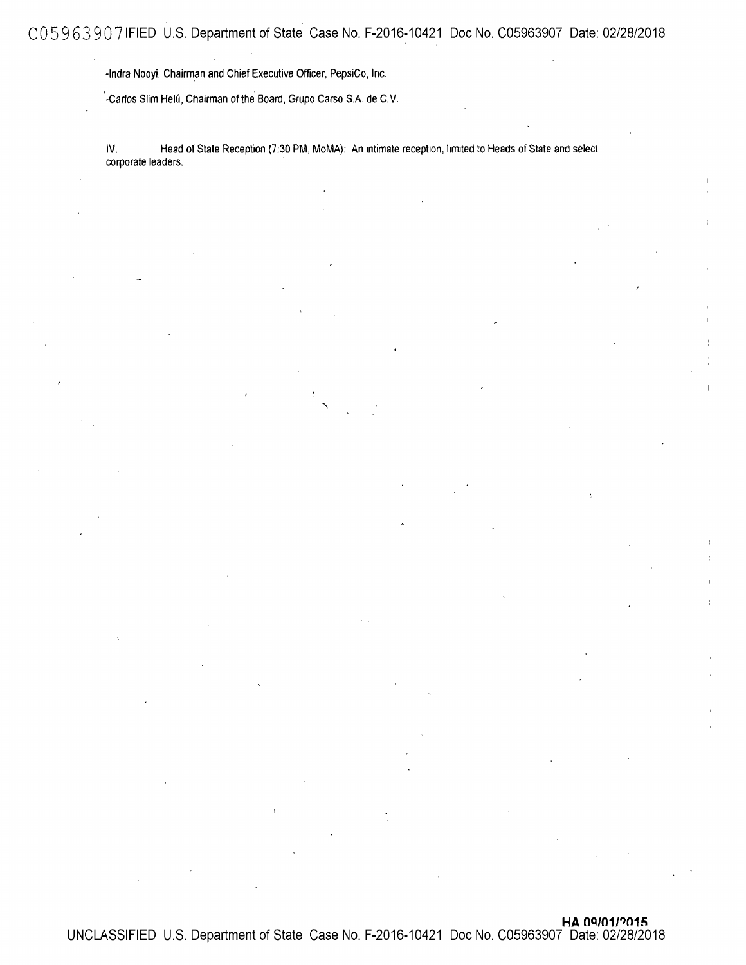-Indra Nooyi, Chairman and Chief Executive Officer, PepsiCo, Inc.

-Carlos Slim Helú, Chairman of the Board, Grupo Carso S.A. de C.V.

IV. Head of State Reception (7:30 PM, MoMA): An intimate reception, limited to Heads of State and select corporate leaders.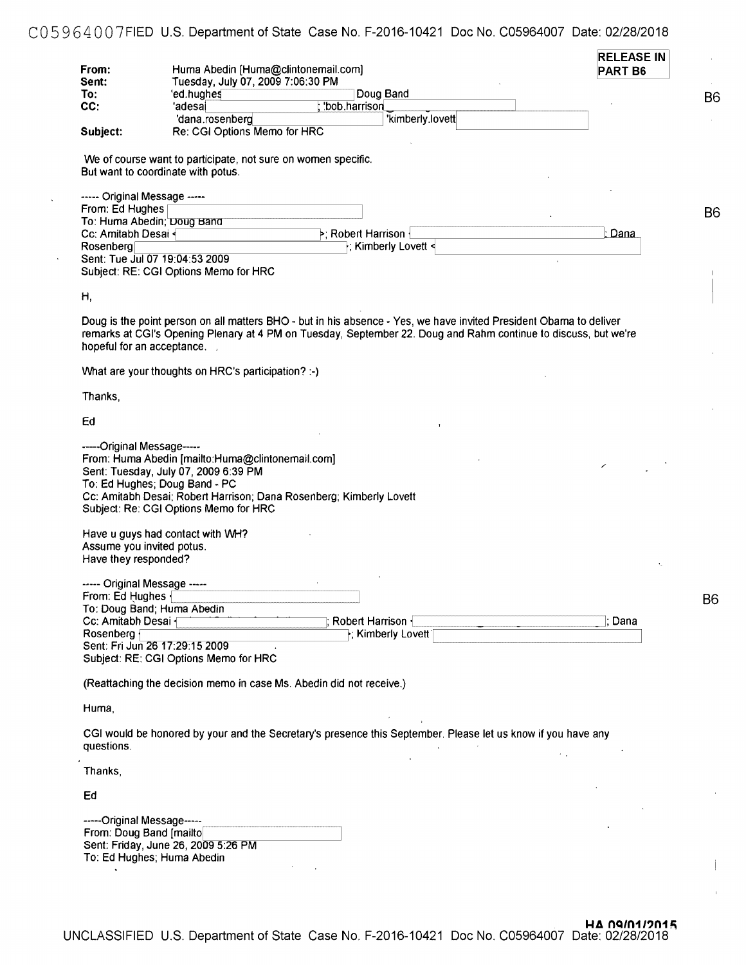# C05964007FIED U.S. Department of State Case No. F-2016-10421 Doc No. C05964007 Date: 02/28/2018

l,

 $\ddot{\phantom{a}}$ 

| From:                                                  |                                                                                                                                                                                                                           | Huma Abedin [Huma@clintonemail.com] |                                                                                                                                                                                                                                       | <b>RELEASE IN</b><br>PART <sub>B6</sub> |  |
|--------------------------------------------------------|---------------------------------------------------------------------------------------------------------------------------------------------------------------------------------------------------------------------------|-------------------------------------|---------------------------------------------------------------------------------------------------------------------------------------------------------------------------------------------------------------------------------------|-----------------------------------------|--|
| Sent:<br>To:                                           | Tuesday, July 07, 2009 7:06:30 PM<br>'ed.hughes                                                                                                                                                                           |                                     | Doug Band                                                                                                                                                                                                                             |                                         |  |
|                                                        |                                                                                                                                                                                                                           |                                     |                                                                                                                                                                                                                                       |                                         |  |
| CC:                                                    | 'adesai                                                                                                                                                                                                                   | 'bob.harrison                       |                                                                                                                                                                                                                                       |                                         |  |
|                                                        | 'dana.rosenberg                                                                                                                                                                                                           |                                     | 'kimberly.lovett                                                                                                                                                                                                                      |                                         |  |
| Subject:                                               | Re: CGI Options Memo for HRC                                                                                                                                                                                              |                                     |                                                                                                                                                                                                                                       |                                         |  |
|                                                        | We of course want to participate, not sure on women specific.<br>But want to coordinate with potus.                                                                                                                       |                                     |                                                                                                                                                                                                                                       |                                         |  |
| ----- Original Message -----<br>From: Ed Hughes        |                                                                                                                                                                                                                           |                                     |                                                                                                                                                                                                                                       |                                         |  |
|                                                        | To: Huma Abedin; Doug Band                                                                                                                                                                                                |                                     |                                                                                                                                                                                                                                       |                                         |  |
|                                                        |                                                                                                                                                                                                                           | >; Robert Harrison ·                |                                                                                                                                                                                                                                       | Dana                                    |  |
| Cc: Amitabh Desai                                      |                                                                                                                                                                                                                           |                                     |                                                                                                                                                                                                                                       |                                         |  |
| Rosenberg                                              |                                                                                                                                                                                                                           |                                     | F; Kimberly Lovett <                                                                                                                                                                                                                  |                                         |  |
|                                                        | Sent: Tue Jul 07 19:04:53 2009                                                                                                                                                                                            |                                     |                                                                                                                                                                                                                                       |                                         |  |
|                                                        | Subject: RE: CGI Options Memo for HRC                                                                                                                                                                                     |                                     |                                                                                                                                                                                                                                       |                                         |  |
| Η,                                                     |                                                                                                                                                                                                                           |                                     |                                                                                                                                                                                                                                       |                                         |  |
| hopeful for an acceptance.                             |                                                                                                                                                                                                                           |                                     | Doug is the point person on all matters BHO - but in his absence - Yes, we have invited President Obama to deliver<br>remarks at CGI's Opening Plenary at 4 PM on Tuesday, September 22. Doug and Rahm continue to discuss, but we're |                                         |  |
|                                                        | What are your thoughts on HRC's participation? :-)                                                                                                                                                                        |                                     |                                                                                                                                                                                                                                       |                                         |  |
| Thanks,                                                |                                                                                                                                                                                                                           |                                     |                                                                                                                                                                                                                                       |                                         |  |
| Ed                                                     |                                                                                                                                                                                                                           |                                     |                                                                                                                                                                                                                                       |                                         |  |
| Assume you invited potus.<br>Have they responded?      | Sent: Tuesday, July 07, 2009 6:39 PM<br>To: Ed Hughes; Doug Band - PC<br>Cc: Amitabh Desai; Robert Harrison; Dana Rosenberg; Kimberly Lovett<br>Subject: Re: CGI Options Memo for HRC<br>Have u guys had contact with WH? |                                     |                                                                                                                                                                                                                                       |                                         |  |
| ----- Original Message -----                           |                                                                                                                                                                                                                           |                                     |                                                                                                                                                                                                                                       | $\mathbf{v}_\alpha$                     |  |
| From: Ed Hughes                                        |                                                                                                                                                                                                                           |                                     |                                                                                                                                                                                                                                       |                                         |  |
|                                                        | To: Doug Band; Huma Abedin                                                                                                                                                                                                |                                     |                                                                                                                                                                                                                                       |                                         |  |
| Cc: Amitabh Desai                                      |                                                                                                                                                                                                                           |                                     | Robert Harrison {                                                                                                                                                                                                                     | : Dana                                  |  |
|                                                        |                                                                                                                                                                                                                           |                                     |                                                                                                                                                                                                                                       |                                         |  |
|                                                        |                                                                                                                                                                                                                           |                                     | F; Kimberly Lovett                                                                                                                                                                                                                    |                                         |  |
|                                                        |                                                                                                                                                                                                                           |                                     |                                                                                                                                                                                                                                       |                                         |  |
|                                                        |                                                                                                                                                                                                                           |                                     |                                                                                                                                                                                                                                       |                                         |  |
|                                                        | Subject: RE: CGI Options Memo for HRC                                                                                                                                                                                     |                                     |                                                                                                                                                                                                                                       |                                         |  |
|                                                        | (Reattaching the decision memo in case Ms. Abedin did not receive.)                                                                                                                                                       |                                     |                                                                                                                                                                                                                                       |                                         |  |
| Rosenberg {<br>Sent: Fri Jun 26 17:29:15 2009<br>Huma, |                                                                                                                                                                                                                           |                                     |                                                                                                                                                                                                                                       |                                         |  |
|                                                        |                                                                                                                                                                                                                           |                                     | CGI would be honored by your and the Secretary's presence this September. Please let us know if you have any                                                                                                                          |                                         |  |
| questions.<br>Thanks,                                  |                                                                                                                                                                                                                           |                                     |                                                                                                                                                                                                                                       |                                         |  |
| Ed                                                     |                                                                                                                                                                                                                           |                                     |                                                                                                                                                                                                                                       |                                         |  |
| -----Original Message-----<br>From: Doug Band [mailto] | Sent: Friday, June 26, 2009 5:26 PM<br>To: Ed Hughes; Huma Abedin                                                                                                                                                         |                                     |                                                                                                                                                                                                                                       |                                         |  |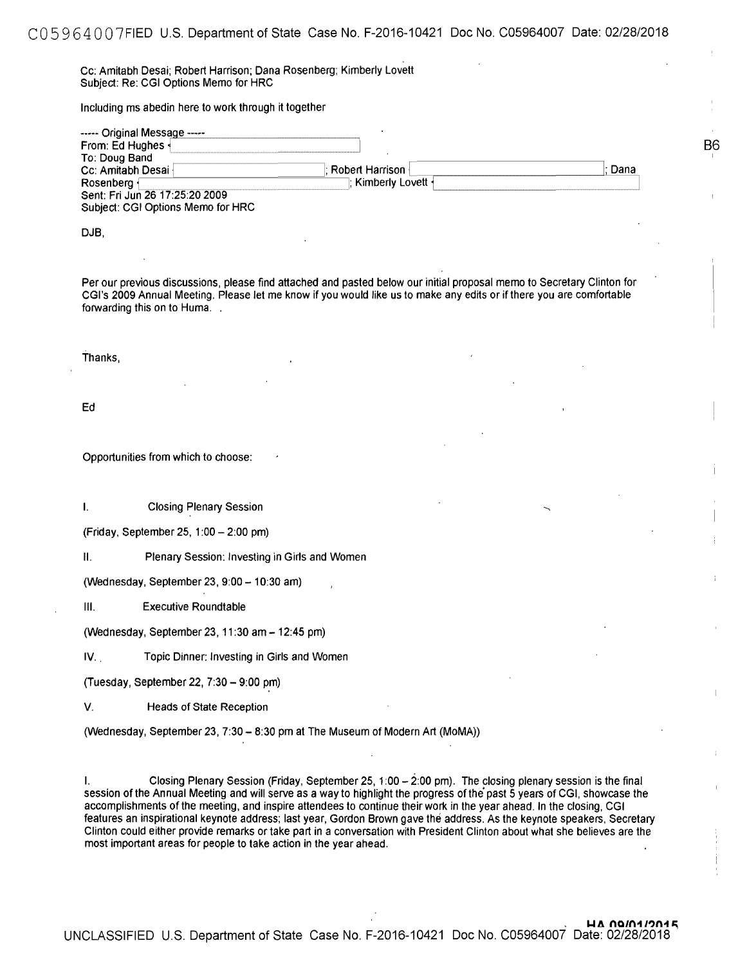Cc: Amitabh Desai; Robert Harrison; Dana Rosenberg; Kimberly Lovett Subject: Re: CGI Options Memo for HRC

Including ms abedin here to work through it together

| ----- Original Message -----      |                      |        |
|-----------------------------------|----------------------|--------|
| From: Ed Hughes                   |                      |        |
| To: Doug Band                     |                      |        |
| Cc: Amitabh Desai                 | : Robert Harrison ⊦  | : Dana |
| Rosenberg {                       | l: Kimberlv Lovett ∙ |        |
| Sent: Fri Jun 26 17:25:20 2009    |                      |        |
| Subject: CGI Options Memo for HRC |                      |        |

**B**6

DJB,

Per our previous discussions, please find attached and pasted below our initial proposal memo to Secretary Clinton for CGI's 2009 Annual Meeting. Please let me know if you would like us to make any edits or if there you are comfortable forwarding this on to Huma. .

Thanks,

Ed

Opportunities from which to choose:

I. Closing Plenary Session

(Friday, September 25, 1 :00 - 2:00 pm)

II. Plenary Session: Investing in Girls and Women

(Wednesday, September 23, 9:00 - 10:30 am)

Ill. Executive Roundtable

(Wednesday, September 23, 11 :30 am - 12:45 pm)

IV. . Topic Dinner: Investing in Girls and Women

(Tuesday, September 22, 7:30 - 9:00 pm)

V. Heads of State Reception

(Wednesday, September 23, 7:30 - 8:30 pm at The Museum of Modern Art (MoMA))

I. Closing Plenary Session (Friday, September 25, 1 :00 - 2:00 pm). The closing plenary session is the final session of the Annual Meeting and will serve as a way to highlight the progress of the' past 5 years of CGI, showcase the accomplishments of the meeting, and inspire attendees to continue their work in the year ahead. In the closing, CGI features an inspirational keynote address; last year, Gordon Brown gave the address. As the keynote speakers, Secretary Clinton could either provide remarks or take part in a conversation with President Clinton about what she believes are the most important areas for people to take action in the year ahead.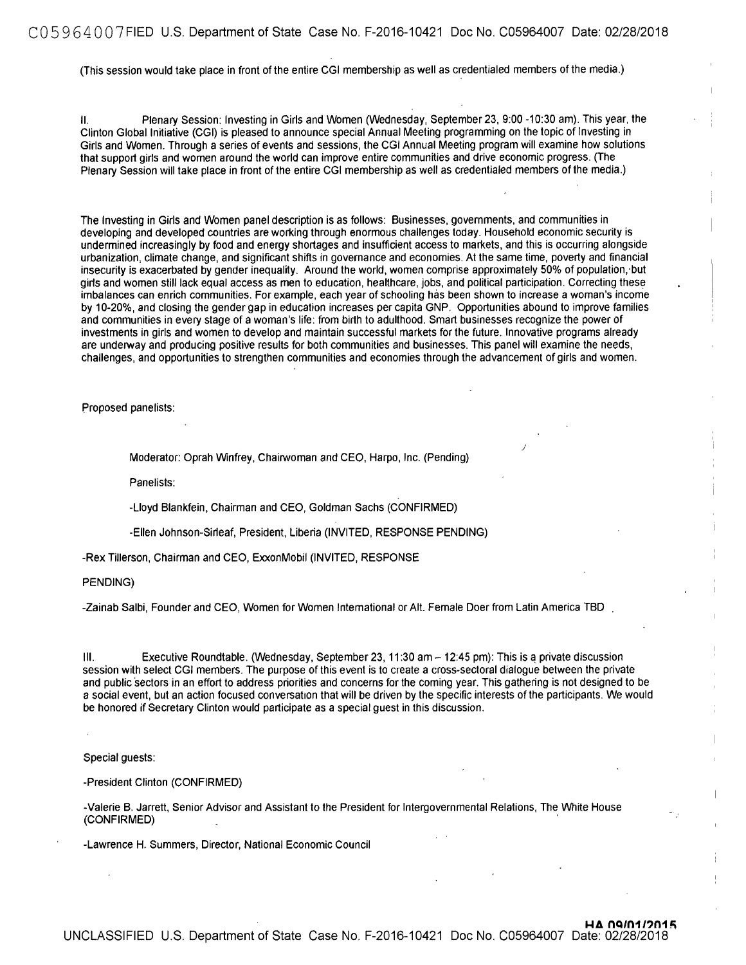#### CO 5 9 6 4 O O 7 FIED U.S. Department of State Case No. F-2016-10421 Doc No. C05964007 Date: 02/28/2018

(This session would take place in front of the entire CGI membership as well as credentialed members of the media.)

II. Plenary Session: Investing in Girls and Women (Wednesday, September 23, 9:00 -10:30 am). This year, the Clinton Global Initiative (CGI) is pleased to announce special Annual Meeting programming on the topic of Investing in Girls and Women. Through a series of events and sessions, the CGI Annual Meeting program will examine how solutions that support girls and women around the world can improve entire communities and drive economic progress. (The Plenary Session will take place in front of the entire CGI membership as well as credentialed members of the media.)

The Investing in Girls and Women panel description is as follows: Businesses, governments, and communities in developing and developed countries are working through enormous challenges today. Household economic security is undermined increasingly by food and energy shortages and insufficient access to markets, and this is occurring alongside urbanization, climate change, and significant shifts in governance and economies. At the same time, poverty and financial insecurity is exacerbated by gender inequality. Around the world, women comprise approximately 50% of population,·but girls and women still lack equal access as men to education, healthcare, jobs, and political participation. Correcting these imbalances can enrich communities. For example, each year of schooling has been shown to increase a woman's income by 10-20%, and closing the gender gap in education increases per capita GNP. Opportunities abound to improve families and communities in every stage of a woman's life: from birth to adulthood. Smart businesses recognize the power of investments in girls and women to develop and maintain successful markets for the future. Innovative programs already are underway and producing positive results for both communities and businesses. This panel will examine the needs, challenges, and opportunities to strengthen communities and economies through the advancement of girls and women.

)

Proposed panelists:

Moderator: Oprah Winfrey, Chairwoman and CEO, Harpo, Inc. (Pending)

Panelists:

-Lloyd Blankfein, Chairman and CEO, Goldman Sachs (CONFIRMED)

-Ellen Johnson-Sirleaf, President, Liberia (INVITED, RESPONSE PENDING)

-Rex Tillerson, Chairman and CEO, ExxonMobil (INVITED, RESPONSE

PENDING)

-Zainab Salbi, Founder and CEO, Women for Women International or Alt. Female Doer from Latin America TBD

III. Executive Roundtable. (Wednesday, September 23, 11:30 am - 12:45 pm): This is a private discussion session with select CGI members. The purpose of this event is to create a cross-sectoral dialogue between the private and public sectors in an effort to address priorities and concerns for the coming year. This gathering is not designed to be a social event, but an action focused conversation that will be driven by the specific interests of the participants. We would be honored if Secretary Clinton would participate as a special guest in this discussion.

Special guests:

-President Clinton (CONFIRMED)

-Valerie B. Jarrett, Senior Advisor and Assistant to the President for Intergovernmental Relations, The White House (CONFIRMED) .

-Lawrence H. Summers, Director, National Economic Council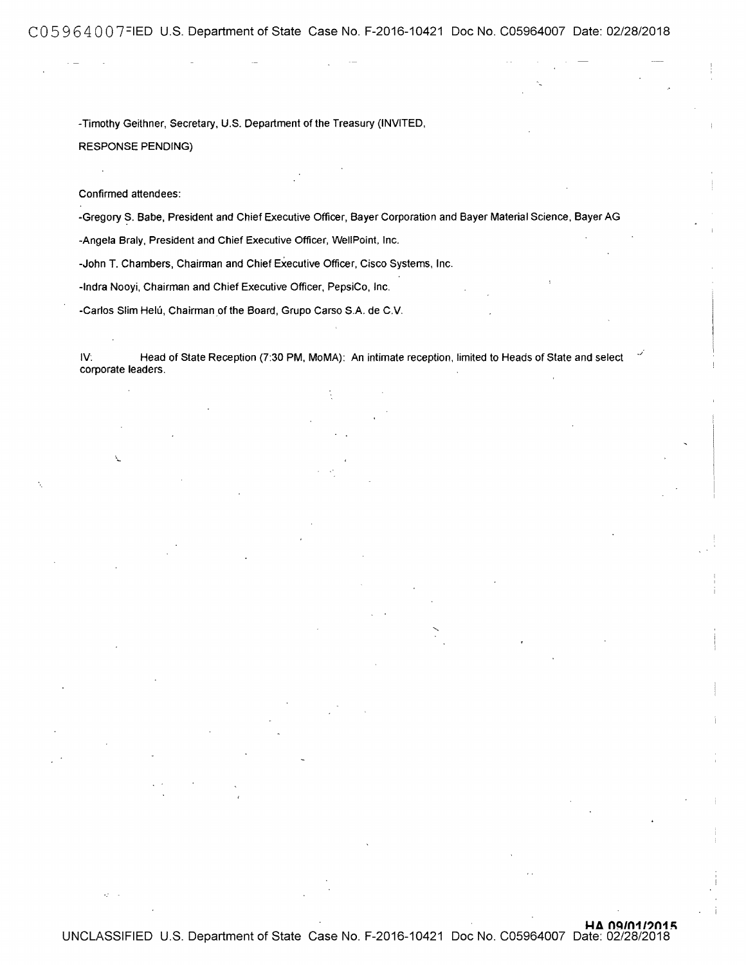C05964007FIED U.S. Department of State Case No. F-2016-10421 Doc No. C05964007 Date: 02/28/2018

-Timothy Geithner, Secretary, U.S. Department of the Treasury (INVITED, RESPONSE PENDING)

Confirmed attendees:

 $\overline{\phantom{a}}$ 

 $\mathcal{O}$ 

-Gregory S. Babe, President and Chief Executive Officer, Bayer Corporation and Bayer Material Science, Bayer AG

-Angela Braly, President and Chief Executive Officer, WellPoint, Inc.

-John T. Chambers, Chairman and Chief Executive Officer, Cisco Systems, Inc.

-Indra Nooyi, Chairman and Chief Executive Officer, PepsiCo, Inc.

-Carlos Slim Helú, Chairman of the Board, Grupo Carso S.A. de C.V.

IV: Head of State Reception (7:30 PM, MoMA): An intimate reception, limited to Heads of State and select corporate leaders.

 $HA$   $09/01/2015$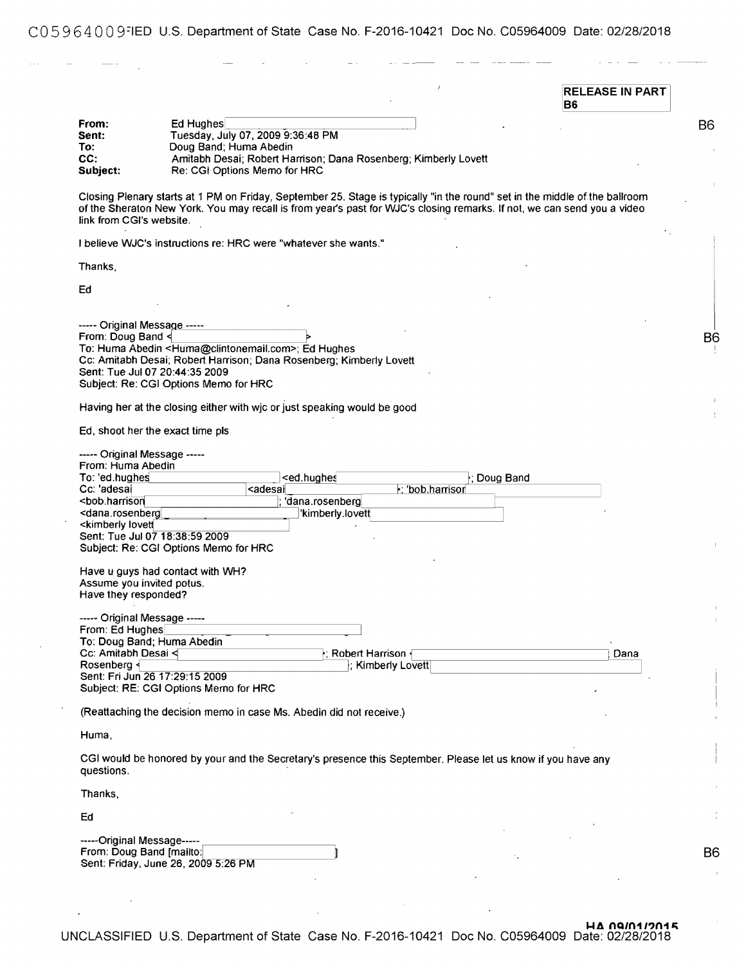CO 5 9 6 4 O O 9=1ED U.S. Department of State Case No. F-2016-10421 Doc No. C05964009 Date: 02/28/2018

|                                                                                                        |                                                                                                                                                                                                                                                        |                                                                       |                   |             | <b>RELEASE IN PART</b><br><b>B6</b> |
|--------------------------------------------------------------------------------------------------------|--------------------------------------------------------------------------------------------------------------------------------------------------------------------------------------------------------------------------------------------------------|-----------------------------------------------------------------------|-------------------|-------------|-------------------------------------|
| From:                                                                                                  | Ed Hughes                                                                                                                                                                                                                                              |                                                                       |                   |             |                                     |
| Sent:                                                                                                  | Tuesday, July 07, 2009 9:36:48 PM                                                                                                                                                                                                                      |                                                                       |                   |             |                                     |
|                                                                                                        |                                                                                                                                                                                                                                                        |                                                                       |                   |             |                                     |
| To:                                                                                                    | Doug Band; Huma Abedin                                                                                                                                                                                                                                 |                                                                       |                   |             |                                     |
| CC:                                                                                                    | Amitabh Desai; Robert Harrison; Dana Rosenberg; Kimberly Lovett                                                                                                                                                                                        |                                                                       |                   |             |                                     |
| Subject:                                                                                               | Re: CGI Options Memo for HRC                                                                                                                                                                                                                           |                                                                       |                   |             |                                     |
| link from CGI's website.                                                                               | Closing Plenary starts at 1 PM on Friday, September 25. Stage is typically "in the round" set in the middle of the ballroom<br>of the Sheraton New York. You may recall is from year's past for WJC's closing remarks. If not, we can send you a video |                                                                       |                   |             |                                     |
|                                                                                                        | I believe WJC's instructions re: HRC were "whatever she wants."                                                                                                                                                                                        |                                                                       |                   |             |                                     |
| Thanks,                                                                                                |                                                                                                                                                                                                                                                        |                                                                       |                   |             |                                     |
|                                                                                                        |                                                                                                                                                                                                                                                        |                                                                       |                   |             |                                     |
| Ed                                                                                                     |                                                                                                                                                                                                                                                        |                                                                       |                   |             |                                     |
|                                                                                                        |                                                                                                                                                                                                                                                        |                                                                       |                   |             |                                     |
|                                                                                                        |                                                                                                                                                                                                                                                        |                                                                       |                   |             |                                     |
| ----- Original Message -----                                                                           |                                                                                                                                                                                                                                                        |                                                                       |                   |             |                                     |
| From: Doug Band <                                                                                      |                                                                                                                                                                                                                                                        |                                                                       |                   |             |                                     |
|                                                                                                        | To: Huma Abedin <huma@clintonemail.com>; Ed Hughes</huma@clintonemail.com>                                                                                                                                                                             |                                                                       |                   |             |                                     |
|                                                                                                        | Cc: Amitabh Desai; Robert Harrison; Dana Rosenberg; Kimberly Lovett                                                                                                                                                                                    |                                                                       |                   |             |                                     |
|                                                                                                        | Sent: Tue Jul 07 20:44:35 2009                                                                                                                                                                                                                         |                                                                       |                   |             |                                     |
|                                                                                                        | Subject: Re: CGI Options Memo for HRC                                                                                                                                                                                                                  |                                                                       |                   |             |                                     |
|                                                                                                        | Having her at the closing either with wic or just speaking would be good                                                                                                                                                                               |                                                                       |                   |             |                                     |
|                                                                                                        |                                                                                                                                                                                                                                                        |                                                                       |                   |             |                                     |
|                                                                                                        | Ed, shoot her the exact time pls                                                                                                                                                                                                                       |                                                                       |                   |             |                                     |
| ----- Original Message -----                                                                           |                                                                                                                                                                                                                                                        |                                                                       |                   |             |                                     |
| From: Huma Abedin                                                                                      |                                                                                                                                                                                                                                                        |                                                                       |                   |             |                                     |
| To: 'ed.hughes                                                                                         |                                                                                                                                                                                                                                                        | <ed.hughes< td=""><td></td><td>; Doug Band</td><td></td></ed.hughes<> |                   | ; Doug Band |                                     |
| Cc: 'adesai                                                                                            | <adesai< td=""><td></td><td>&gt;; 'bob.harrisor</td><td></td><td></td></adesai<>                                                                                                                                                                       |                                                                       | >; 'bob.harrisor  |             |                                     |
| <bob.harrison< td=""><td></td><td>'dana.rosenberg</td><td></td><td></td><td></td></bob.harrison<>      |                                                                                                                                                                                                                                                        | 'dana.rosenberg                                                       |                   |             |                                     |
| <dana.rosenberg< td=""><td></td><td>'kimberly.lovett</td><td></td><td></td><td></td></dana.rosenberg<> |                                                                                                                                                                                                                                                        | 'kimberly.lovett                                                      |                   |             |                                     |
| <kimberly lovett<="" td=""><td></td><td></td><td></td><td></td><td></td></kimberly>                    |                                                                                                                                                                                                                                                        |                                                                       |                   |             |                                     |
|                                                                                                        | Sent: Tue Jul 07 18:38:59 2009                                                                                                                                                                                                                         |                                                                       |                   |             |                                     |
|                                                                                                        | Subject: Re: CGI Options Memo for HRC                                                                                                                                                                                                                  |                                                                       |                   |             |                                     |
|                                                                                                        | Have u guys had contact with WH?                                                                                                                                                                                                                       |                                                                       |                   |             |                                     |
| Assume you invited potus.                                                                              |                                                                                                                                                                                                                                                        |                                                                       |                   |             |                                     |
| Have they responded?                                                                                   |                                                                                                                                                                                                                                                        |                                                                       |                   |             |                                     |
|                                                                                                        |                                                                                                                                                                                                                                                        |                                                                       |                   |             |                                     |
| ----- Original Message -----                                                                           |                                                                                                                                                                                                                                                        |                                                                       |                   |             |                                     |
| From: Ed Hughes                                                                                        |                                                                                                                                                                                                                                                        |                                                                       |                   |             |                                     |
|                                                                                                        | To: Doug Band; Huma Abedin                                                                                                                                                                                                                             |                                                                       |                   |             |                                     |
| Cc: Amitabh Desai <                                                                                    |                                                                                                                                                                                                                                                        | $\cdot$ ; Robert Harrison $\cdot$                                     |                   |             | Dana                                |
| Rosenberg                                                                                              |                                                                                                                                                                                                                                                        |                                                                       | ; Kimberly Lovett |             |                                     |
|                                                                                                        | Sent: Fri Jun 26 17:29:15 2009                                                                                                                                                                                                                         |                                                                       |                   |             |                                     |
|                                                                                                        | Subject: RE: CGI Options Memo for HRC                                                                                                                                                                                                                  |                                                                       |                   |             |                                     |
|                                                                                                        |                                                                                                                                                                                                                                                        |                                                                       |                   |             |                                     |
|                                                                                                        | (Reattaching the decision memo in case Ms. Abedin did not receive.)                                                                                                                                                                                    |                                                                       |                   |             |                                     |
| Huma,                                                                                                  |                                                                                                                                                                                                                                                        |                                                                       |                   |             |                                     |
|                                                                                                        | CGI would be honored by your and the Secretary's presence this September. Please let us know if you have any                                                                                                                                           |                                                                       |                   |             |                                     |
|                                                                                                        |                                                                                                                                                                                                                                                        |                                                                       |                   |             |                                     |
| questions.                                                                                             |                                                                                                                                                                                                                                                        |                                                                       |                   |             |                                     |
| Thanks,                                                                                                |                                                                                                                                                                                                                                                        |                                                                       |                   |             |                                     |
|                                                                                                        |                                                                                                                                                                                                                                                        |                                                                       |                   |             |                                     |
| Ed                                                                                                     |                                                                                                                                                                                                                                                        |                                                                       |                   |             |                                     |
| -----Original Message-----                                                                             |                                                                                                                                                                                                                                                        |                                                                       |                   |             |                                     |
| From: Doug Band [mailto:                                                                               |                                                                                                                                                                                                                                                        |                                                                       |                   |             |                                     |
|                                                                                                        | Sent: Friday, June 26, 2009 5:26 PM                                                                                                                                                                                                                    |                                                                       |                   |             |                                     |
|                                                                                                        |                                                                                                                                                                                                                                                        |                                                                       |                   |             |                                     |

UNCLASSIFIED U.S. Department of State Case No. F-2016-10421 Doc No. C05964009 Date: 02/28/2018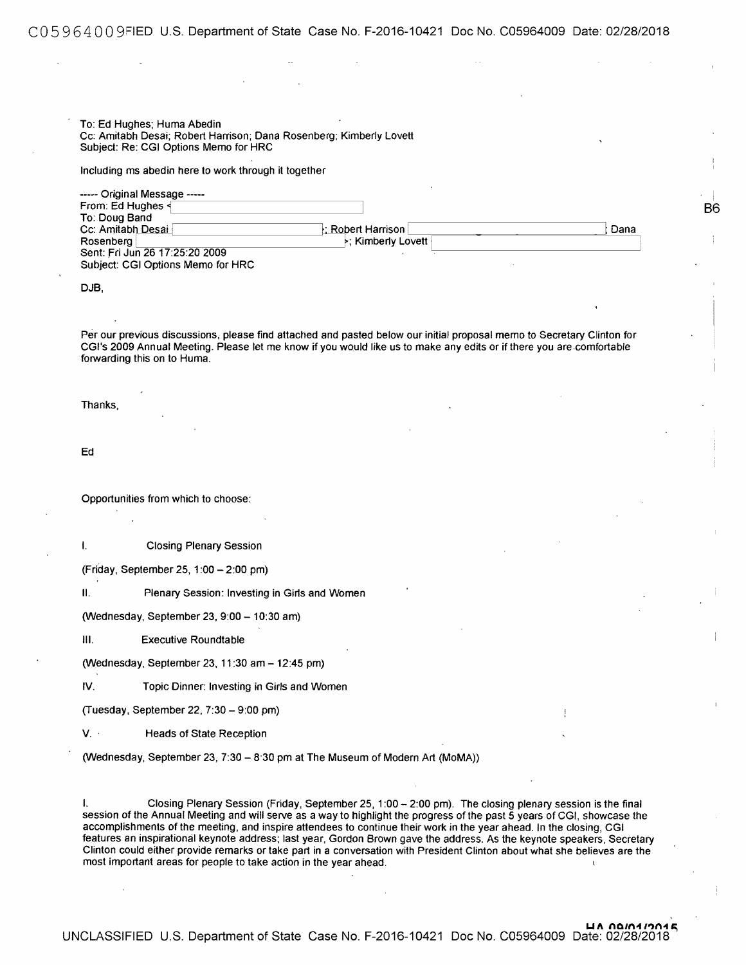To: Ed Hughes; Huma Abedin Cc: Amitabh Desai; Robert Harrison; Dana Rosenberg; Kimberly Lovett Subject: Re: CGI Options Memo for HRC

Including ms abedin here to work through it together

| ----- Original Message -----      |                                    |      |
|-----------------------------------|------------------------------------|------|
| From: Ed Hughes <                 |                                    |      |
| To: Doug Band                     |                                    |      |
| Cc: Amitabh Desai                 | ⊦: Robert Harrison                 | Dana |
| Rosenberg                         | $\triangleright$ : Kimberly Lovett |      |
| Sent: Fri Jun 26 17:25:20 2009    |                                    |      |
| Subject: CGI Options Memo for HRC |                                    |      |

86

DJB,

Per our previous discussions, please find attached and pasted below our initial proposal memo to Secretary Clinton for CGl's 2009 Annual Meeting. Please let me know if you would like us to make any edits or if there you are.comfortable forwarding this on to Huma.

Thanks,

Ed

Opportunities from which to choose:

I. Closing Plenary Session

(Friday, September 25, 1 :00 - 2:00 pm)

II. Plenary Session: Investing in Girls and Women

(Wednesday, September 23, 9:00 - 10:30 am)

Ill. Executive Roundtable

(Wednesday, September 23, 11 :30 am - 12:45 pm)

IV. Topic Dinner: Investing in Girls and Women

(Tuesday, September 22, 7:30 - 9:00 pm)

V. · Heads of State Reception

(Wednesday, September 23, 7:30 - 8·30 pm at The Museum of Modern Art (MoMA))

I. Closing Plenary Session (Friday, September 25, 1 :00 - 2:00 pm). The closing plenary session is the final session of the Annual Meeting and will serve as a way to highlight the progress of the past 5 years of CGI, showcase the accomplishments of the meeting, and inspire attendees to continue their work in the year ahead. In the closing, CGI features an inspirational keynote address; last year, Gordon Brown gave the address. As the keynote speakers. Secretary Clinton could either provide remarks or take part in a conversation with President Clinton about what she believes are the most important areas for people to take action in the year ahead.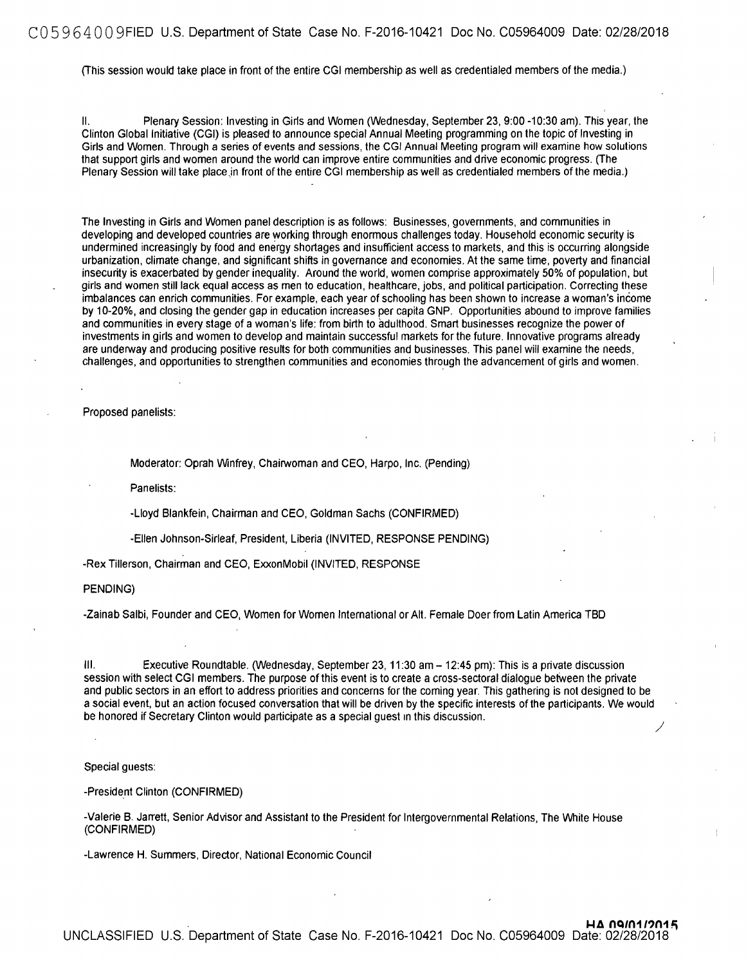#### CO 5 9 6 4 O O 9FIED U.S. Department of State Case No. F-2016-10421 Doc No. C05964009 Date: 02/28/2018

(This session would take place in front of the entire CGI membership as well as credentialed members of the media.)

II. Plenary Session: Investing in Girts and Women (Wednesday, September 23, 9:00-10:30 am). This year, the Clinton Global Initiative (CGI) is pleased to announce special Annual Meeting programming on the topic of Investing in Girls and Women. Through a series of events and sessions, the CGI Annual Meeting program will examine how solutions that support girls and women around the world can improve entire communities and drive economic progress. (The Plenary Session will take place jn front of the entire CGI membership as well as credentialed members of the media.)

The Investing in Girls and Women panel description is as follows: Businesses, governments, and communities in developing and developed countries are working through enormous challenges today. Household economic security is undermined increasingly by food and energy shortages and insufficient access to markets, and this is occurring alongside urbanization, climate change, and significant shifts in governance and economies. At the same time, poverty and financial insecurity is exacerbated by gender inequality. Around the world, women comprise approximately 50% of population, but girls and women still lack equal access as men to education, healthcare, jobs, and political participation. Correcting these imbalances can enrich communities. For example, each year of schooling has been shown to increase a woman's income by 10-20%, and closing the gender gap in education increases per capita GNP. Opportunities abound to improve families and communities in every stage of a woman's life: from birth to adulthood. Smart businesses recognize the power of investments in girls and women to develop and maintain successful markets for the future. Innovative programs already are underway and producing positive results for both communities and businesses. This panel will examine the needs, challenges, and opportunities to strengthen communities and economies through the advancement of girls and women.

Proposed panelists:

Moderator: Oprah Winfrey, Chairwoman and CEO, Harpo, Inc. (Pending)

Panelists:

-Lloyd Blankfein, Chairman and CEO, Goldman Sachs (CONFIRMED)

-Ellen Johnson-Sirleaf, President, Liberia (INVITED, RESPONSE PENDING)

-Rex Tillerson, Chairman and CEO, ExxonMobil (INVITED, RESPONSE

PENDING)

-Zainab Salbi, Founder and CEO, Women for Women International or Alt. Female Doer from Latin America TBD

Ill. Executive Roundtable. (Wednesday, September 23, 11 :30 am - 12:45 pm): This is a private discussion session with select CGI members. The purpose of this event is to create a cross-sectoral dialogue between the private and public sectors in an effort to address priorities and concerns for the coming year. This gathering is not designed to be a social event, but an action focused conversation that will be driven by the specific interests of the participants. We would be honored if Secretary Clinton would participate as a special guest in this discussion. /

Special guests:

-President Clinton (CONFIRMED)

-Valerie B. Jarrett, Senior Advisor and Assistant to the President for Intergovernmental Relations, The White House (CONFIRMED)

-Lawrence H. Summers, Director, National Economic Council